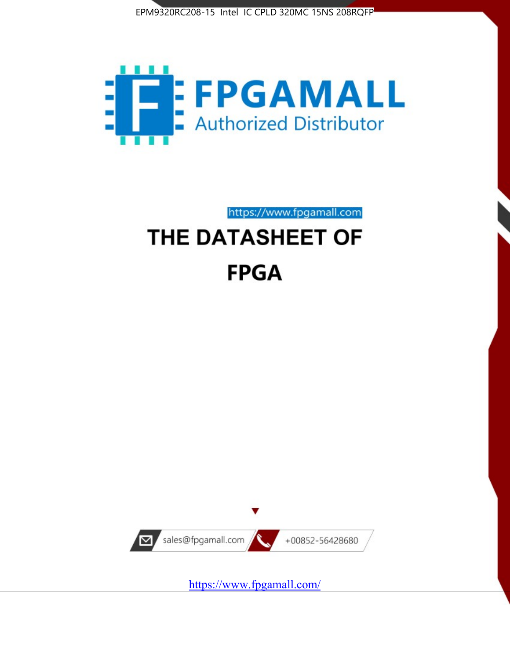



https://www.fpgamall.com

# THE DATASHEET OF **FPGA**



<https://www.fpgamall.com/>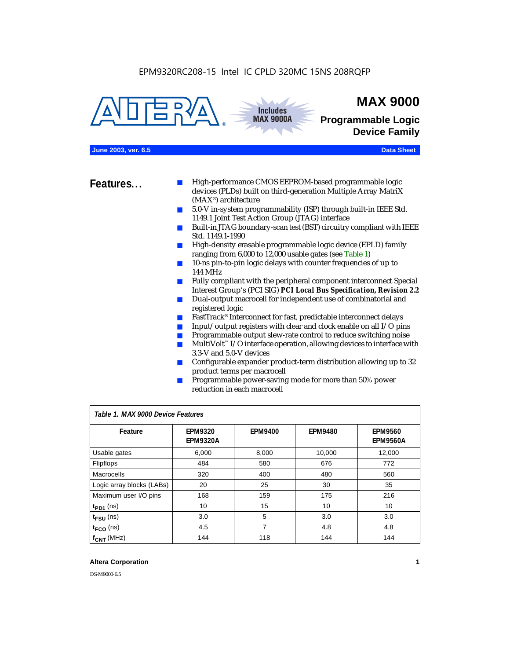



## **MAX 9000**

**Programmable Logic Device Family**

### **June 2003, ver. 6.5 Data Sheet**

- **Features...** High-performance CMOS EEPROM-based programmable logic devices (PLDs) built on third-generation Multiple Array MatriX (MAX®) architecture
	- 5.0-V in-system programmability (ISP) through built-in IEEE Std. 1149.1 Joint Test Action Group (JTAG) interface
	- Built-in JTAG boundary-scan test (BST) circuitry compliant with IEEE Std. 1149.1-1990
	- High-density erasable programmable logic device (EPLD) family ranging from 6,000 to 12,000 usable gates (see Table 1)
	- 10-ns pin-to-pin logic delays with counter frequencies of up to 144 MHz
	- Fully compliant with the peripheral component interconnect Special Interest Group's (PCI SIG) *PCI Local Bus Specification, Revision 2.2*
	- Dual-output macrocell for independent use of combinatorial and registered logic
	- FastTrack<sup>®</sup> Interconnect for fast, predictable interconnect delays
	- $\blacksquare$  Input/output registers with clear and clock enable on all I/O pins
	- Programmable output slew-rate control to reduce switching noise
	- $Multivolt <sup>$\infty$</sup>  I/O interface operation, allowing devices to interface with$ 3.3-V and 5.0-V devices
	- Configurable expander product-term distribution allowing up to 32 product terms per macrocell
	- Programmable power-saving mode for more than 50% power reduction in each macrocell

| Table 1. MAX 9000 Device Features |                                   |                |                |                                   |  |
|-----------------------------------|-----------------------------------|----------------|----------------|-----------------------------------|--|
| Feature                           | <b>EPM9320</b><br><b>EPM9320A</b> | <b>EPM9400</b> | <b>EPM9480</b> | <b>EPM9560</b><br><b>EPM9560A</b> |  |
| Usable gates                      | 6,000                             | 8,000          | 10,000         | 12,000                            |  |
| <b>Flipflops</b>                  | 484                               | 580            | 676            | 772                               |  |
| Macrocells                        | 320                               | 400            | 480            | 560                               |  |
| Logic array blocks (LABs)         | 20                                | 25             | 30             | 35                                |  |
| Maximum user I/O pins             | 168                               | 159            | 175            | 216                               |  |
| $t_{PD1}$ (ns)                    | 10                                | 15             | 10             | 10                                |  |
| $t_{\texttt{FSU}}$ (ns)           | 3.0                               | 5              | 3.0            | 3.0                               |  |
| $t_{FCO}$ (ns)                    | 4.5                               | 7              | 4.8            | 4.8                               |  |
| $f_{\text{CNT}}$ (MHz)            | 144                               | 118            | 144            | 144                               |  |

### **Altera Corporation 1**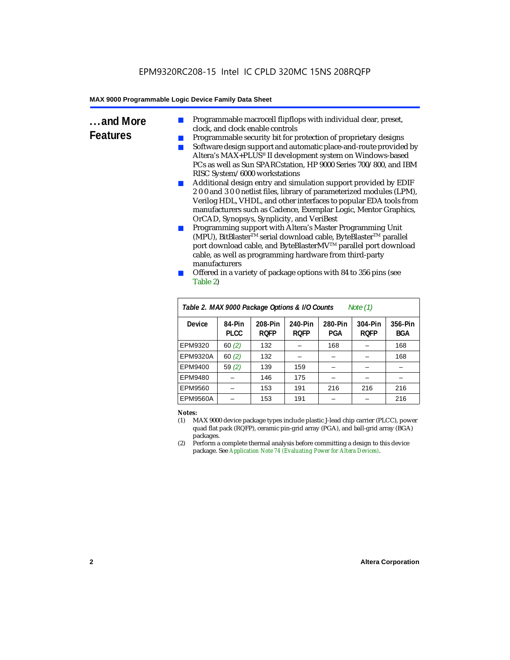- **...and More Features** Programmable macrocell flipflops with individual clear, preset, clock, and clock enable controls
	- Programmable security bit for protection of proprietary designs
	- Software design support and automatic place-and-route provided by Altera's MAX+PLUS® II development system on Windows-based PCs as well as Sun SPARCstation, HP 9000 Series 700/800, and IBM RISC System/6000 workstations
	- Additional design entry and simulation support provided by EDIF 2 0 0 and 3 0 0 netlist files, library of parameterized modules (LPM), Verilog HDL, VHDL, and other interfaces to popular EDA tools from manufacturers such as Cadence, Exemplar Logic, Mentor Graphics, OrCAD, Synopsys, Synplicity, and VeriBest
	- Programming support with Altera's Master Programming Unit (MPU), BitBlaster™ serial download cable, ByteBlaster™ parallel port download cable, and ByteBlasterMV™ parallel port download cable, as well as programming hardware from third-party manufacturers
	- Offered in a variety of package options with 84 to 356 pins (see Table 2)

| Table 2. MAX 9000 Package Options & I/O Counts<br>Note $(1)$ |                       |                        |                        |                |                        |                       |
|--------------------------------------------------------------|-----------------------|------------------------|------------------------|----------------|------------------------|-----------------------|
| Device                                                       | 84-Pin<br><b>PLCC</b> | 208-Pin<br><b>ROFP</b> | 240-Pin<br><b>ROFP</b> | 280-Pin<br>PGA | 304-Pin<br><b>ROFP</b> | 356-Pin<br><b>BGA</b> |
| EPM9320                                                      | 60(2)                 | 132                    |                        | 168            |                        | 168                   |
| <b>EPM9320A</b>                                              | 60(2)                 | 132                    |                        |                |                        | 168                   |
| EPM9400                                                      | 59(2)                 | 139                    | 159                    |                |                        |                       |
| EPM9480                                                      |                       | 146                    | 175                    |                |                        |                       |
| EPM9560                                                      |                       | 153                    | 191                    | 216            | 216                    | 216                   |
| EPM9560A                                                     |                       | 153                    | 191                    |                |                        | 216                   |

#### *Notes:*

- (1) MAX 9000 device package types include plastic J-lead chip carrier (PLCC), power quad flat pack (RQFP), ceramic pin-grid array (PGA), and ball-grid array (BGA) packages.
- (2) Perform a complete thermal analysis before committing a design to this device package. See *Application Note 74 (Evaluating Power for Altera Devices)*.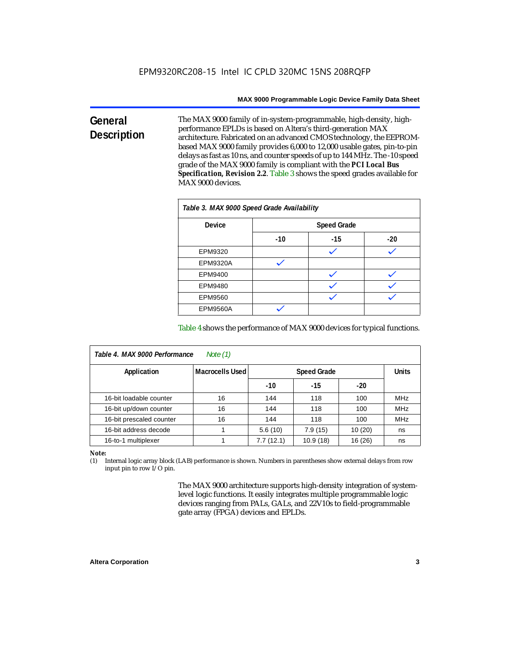#### **General Description** The MAX 9000 family of in-system-programmable, high-density, highperformance EPLDs is based on Altera's third-generation MAX architecture. Fabricated on an advanced CMOS technology, the EEPROMbased MAX 9000 family provides 6,000 to 12,000 usable gates, pin-to-pin delays as fast as 10 ns, and counter speeds of up to 144 MHz. The -10 speed grade of the MAX 9000 family is compliant with the *PCI Local Bus Specification, Revision 2.2*. Table 3 shows the speed grades available for MAX 9000 devices.

| Table 3. MAX 9000 Speed Grade Availability |       |                    |       |  |  |  |
|--------------------------------------------|-------|--------------------|-------|--|--|--|
| <b>Device</b>                              |       | <b>Speed Grade</b> |       |  |  |  |
|                                            | $-10$ | $-15$              | $-20$ |  |  |  |
| EPM9320                                    |       |                    |       |  |  |  |
| <b>EPM9320A</b>                            |       |                    |       |  |  |  |
| EPM9400                                    |       |                    |       |  |  |  |
| EPM9480                                    |       |                    |       |  |  |  |
| EPM9560                                    |       |                    |       |  |  |  |
| <b>EPM9560A</b>                            |       |                    |       |  |  |  |

Table 4 shows the performance of MAX 9000 devices for typical functions.

| Table 4. MAX 9000 Performance<br>Note $(1)$ |                        |                                    |          |         |            |  |
|---------------------------------------------|------------------------|------------------------------------|----------|---------|------------|--|
| Application                                 | <b>Macrocells Used</b> | <b>Units</b><br><b>Speed Grade</b> |          |         |            |  |
|                                             |                        | $-10$                              | $-15$    | $-20$   |            |  |
| 16-bit loadable counter                     | 16                     | 144                                | 118      | 100     | <b>MHz</b> |  |
| 16-bit up/down counter                      | 16                     | 144                                | 118      | 100     | <b>MHz</b> |  |
| 16-bit prescaled counter                    | 16                     | 144                                | 118      | 100     | <b>MHz</b> |  |
| 16-bit address decode                       |                        | 5.6(10)                            | 7.9(15)  | 10(20)  | ns         |  |
| 16-to-1 multiplexer                         |                        | 7.7(12.1)                          | 10.9(18) | 16 (26) | ns         |  |

*Note:*

(1) Internal logic array block (LAB) performance is shown. Numbers in parentheses show external delays from row input pin to row I/O pin.

> The MAX 9000 architecture supports high-density integration of systemlevel logic functions. It easily integrates multiple programmable logic devices ranging from PALs, GALs, and 22V10s to field-programmable gate array (FPGA) devices and EPLDs.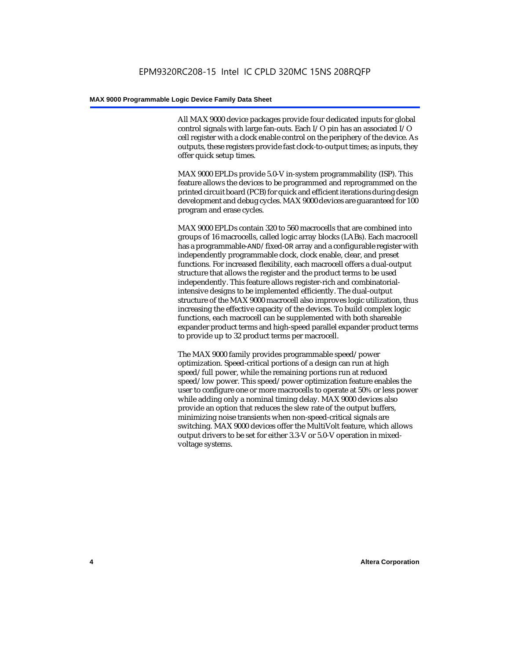All MAX 9000 device packages provide four dedicated inputs for global control signals with large fan-outs. Each I/O pin has an associated I/O cell register with a clock enable control on the periphery of the device. As outputs, these registers provide fast clock-to-output times; as inputs, they offer quick setup times.

MAX 9000 EPLDs provide 5.0-V in-system programmability (ISP). This feature allows the devices to be programmed and reprogrammed on the printed circuit board (PCB) for quick and efficient iterations during design development and debug cycles. MAX 9000 devices are guaranteed for 100 program and erase cycles.

MAX 9000 EPLDs contain 320 to 560 macrocells that are combined into groups of 16 macrocells, called logic array blocks (LABs). Each macrocell has a programmable-AND/fixed-OR array and a configurable register with independently programmable clock, clock enable, clear, and preset functions. For increased flexibility, each macrocell offers a dual-output structure that allows the register and the product terms to be used independently. This feature allows register-rich and combinatorialintensive designs to be implemented efficiently. The dual-output structure of the MAX 9000 macrocell also improves logic utilization, thus increasing the effective capacity of the devices. To build complex logic functions, each macrocell can be supplemented with both shareable expander product terms and high-speed parallel expander product terms to provide up to 32 product terms per macrocell.

The MAX 9000 family provides programmable speed/power optimization. Speed-critical portions of a design can run at high speed/full power, while the remaining portions run at reduced speed/low power. This speed/power optimization feature enables the user to configure one or more macrocells to operate at 50% or less power while adding only a nominal timing delay. MAX 9000 devices also provide an option that reduces the slew rate of the output buffers, minimizing noise transients when non-speed-critical signals are switching. MAX 9000 devices offer the MultiVolt feature, which allows output drivers to be set for either 3.3-V or 5.0-V operation in mixedvoltage systems.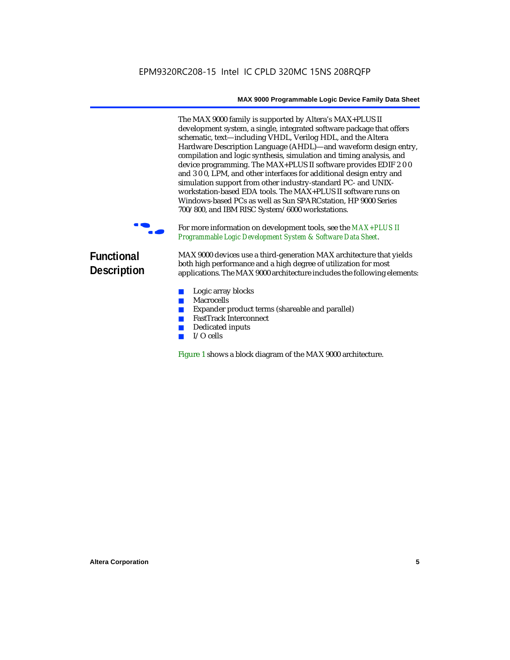The MAX 9000 family is supported by Altera's MAX+PLUS II development system, a single, integrated software package that offers schematic, text—including VHDL, Verilog HDL, and the Altera Hardware Description Language (AHDL)—and waveform design entry, compilation and logic synthesis, simulation and timing analysis, and device programming. The MAX+PLUS II software provides EDIF 2 0 0 and 3 0 0, LPM, and other interfaces for additional design entry and simulation support from other industry-standard PC- and UNIXworkstation-based EDA tools. The MAX+PLUS II software runs on Windows-based PCs as well as Sun SPARCstation, HP 9000 Series 700/800, and IBM RISC System/6000 workstations.

For more information on development tools, see the  $MAX+PLUS$  II *Programmable Logic Development System & Software Data Sheet*.

### **Functional Description**

MAX 9000 devices use a third-generation MAX architecture that yields both high performance and a high degree of utilization for most applications. The MAX 9000 architecture includes the following elements:

- Logic array blocks
- Macrocells
- Expander product terms (shareable and parallel)
- FastTrack Interconnect
- Dedicated inputs
- I/O cells

Figure 1 shows a block diagram of the MAX 9000 architecture.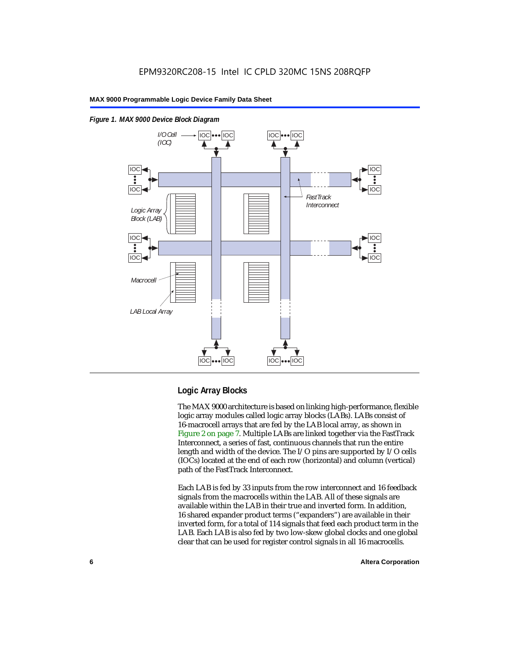

### *Figure 1. MAX 9000 Device Block Diagram*

### **Logic Array Blocks**

The MAX 9000 architecture is based on linking high-performance, flexible logic array modules called logic array blocks (LABs). LABs consist of 16-macrocell arrays that are fed by the LAB local array, as shown in Figure 2 on page 7. Multiple LABs are linked together via the FastTrack Interconnect, a series of fast, continuous channels that run the entire length and width of the device. The I/O pins are supported by I/O cells (IOCs) located at the end of each row (horizontal) and column (vertical) path of the FastTrack Interconnect.

Each LAB is fed by 33 inputs from the row interconnect and 16 feedback signals from the macrocells within the LAB. All of these signals are available within the LAB in their true and inverted form. In addition, 16 shared expander product terms ("expanders") are available in their inverted form, for a total of 114 signals that feed each product term in the LAB. Each LAB is also fed by two low-skew global clocks and one global clear that can be used for register control signals in all 16 macrocells.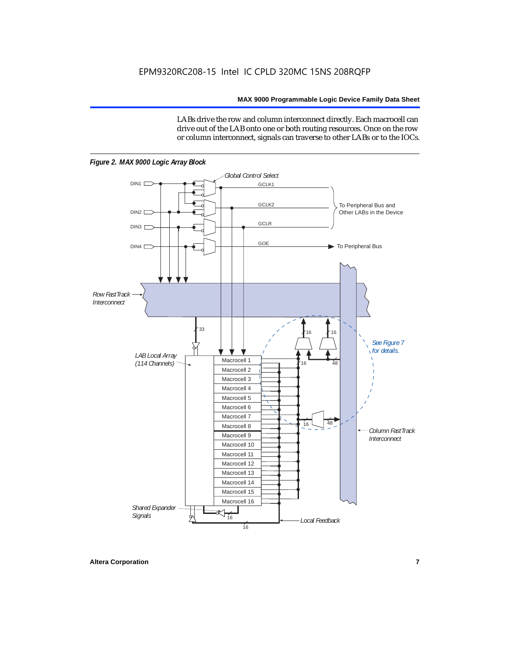LABs drive the row and column interconnect directly. Each macrocell can drive out of the LAB onto one or both routing resources. Once on the row or column interconnect, signals can traverse to other LABs or to the IOCs.



*Figure 2. MAX 9000 Logic Array Block*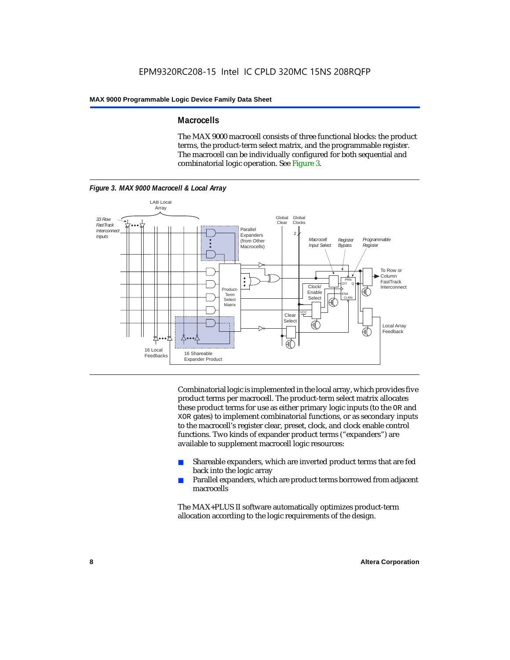### **Macrocells**

The MAX 9000 macrocell consists of three functional blocks: the product terms, the product-term select matrix, and the programmable register. The macrocell can be individually configured for both sequential and combinatorial logic operation. See Figure 3.



Combinatorial logic is implemented in the local array, which provides five product terms per macrocell. The product-term select matrix allocates these product terms for use as either primary logic inputs (to the OR and XOR gates) to implement combinatorial functions, or as secondary inputs to the macrocell's register clear, preset, clock, and clock enable control functions. Two kinds of expander product terms ("expanders") are available to supplement macrocell logic resources:

- Shareable expanders, which are inverted product terms that are fed back into the logic array
- Parallel expanders, which are product terms borrowed from adjacent macrocells

The MAX+PLUS II software automatically optimizes product-term allocation according to the logic requirements of the design.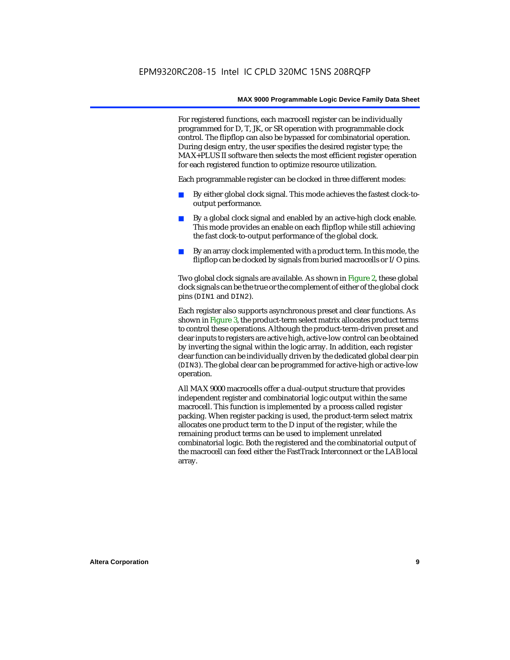For registered functions, each macrocell register can be individually programmed for D, T, JK, or SR operation with programmable clock control. The flipflop can also be bypassed for combinatorial operation. During design entry, the user specifies the desired register type; the MAX+PLUS II software then selects the most efficient register operation for each registered function to optimize resource utilization.

Each programmable register can be clocked in three different modes:

- By either global clock signal. This mode achieves the fastest clock-tooutput performance.
- By a global clock signal and enabled by an active-high clock enable. This mode provides an enable on each flipflop while still achieving the fast clock-to-output performance of the global clock.
- By an array clock implemented with a product term. In this mode, the flipflop can be clocked by signals from buried macrocells or I/O pins.

Two global clock signals are available. As shown in Figure 2, these global clock signals can be the true or the complement of either of the global clock pins (DIN1 and DIN2).

Each register also supports asynchronous preset and clear functions. As shown in Figure 3, the product-term select matrix allocates product terms to control these operations. Although the product-term-driven preset and clear inputs to registers are active high, active-low control can be obtained by inverting the signal within the logic array. In addition, each register clear function can be individually driven by the dedicated global clear pin (DIN3). The global clear can be programmed for active-high or active-low operation.

All MAX 9000 macrocells offer a dual-output structure that provides independent register and combinatorial logic output within the same macrocell. This function is implemented by a process called register packing. When register packing is used, the product-term select matrix allocates one product term to the D input of the register, while the remaining product terms can be used to implement unrelated combinatorial logic. Both the registered and the combinatorial output of the macrocell can feed either the FastTrack Interconnect or the LAB local array.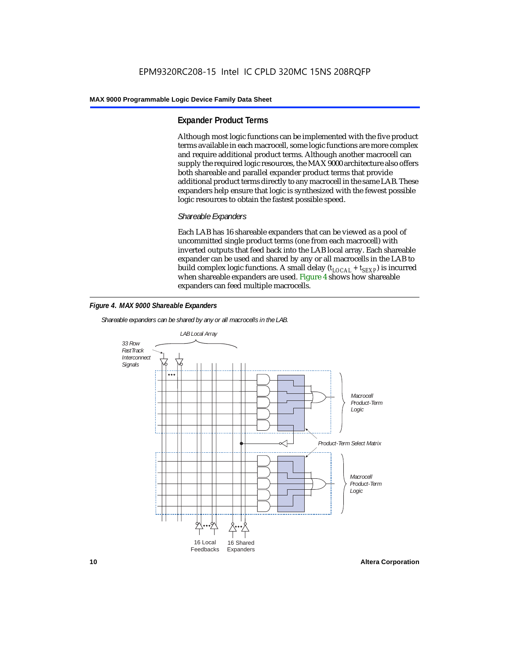### **Expander Product Terms**

Although most logic functions can be implemented with the five product terms available in each macrocell, some logic functions are more complex and require additional product terms. Although another macrocell can supply the required logic resources, the MAX 9000 architecture also offers both shareable and parallel expander product terms that provide additional product terms directly to any macrocell in the same LAB. These expanders help ensure that logic is synthesized with the fewest possible logic resources to obtain the fastest possible speed.

### *Shareable Expanders*

Each LAB has 16 shareable expanders that can be viewed as a pool of uncommitted single product terms (one from each macrocell) with inverted outputs that feed back into the LAB local array. Each shareable expander can be used and shared by any or all macrocells in the LAB to build complex logic functions. A small delay ( $t_{LOCAL} + t_{SEXP}$ ) is incurred when shareable expanders are used. Figure 4 shows how shareable expanders can feed multiple macrocells.



*Shareable expanders can be shared by any or all macrocells in the LAB.*



**10 Altera Corporation**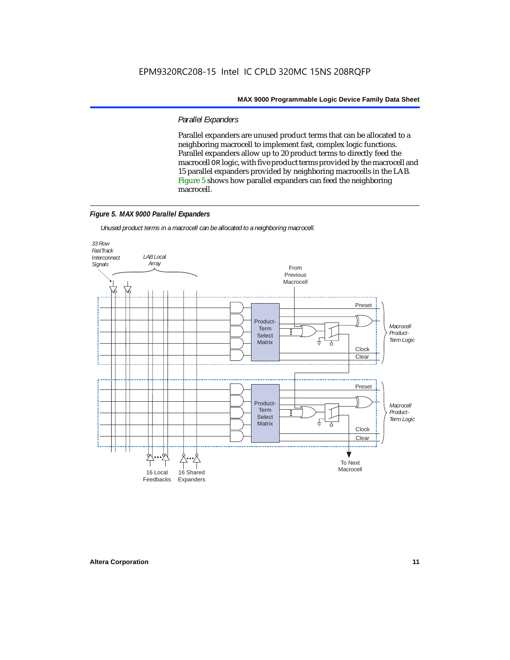### *Parallel Expanders*

Parallel expanders are unused product terms that can be allocated to a neighboring macrocell to implement fast, complex logic functions. Parallel expanders allow up to 20 product terms to directly feed the macrocell OR logic, with five product terms provided by the macrocell and 15 parallel expanders provided by neighboring macrocells in the LAB. Figure 5 shows how parallel expanders can feed the neighboring macrocell.

### *Figure 5. MAX 9000 Parallel Expanders*

*Unused product terms in a macrocell can be allocated to a neighboring macrocell.*

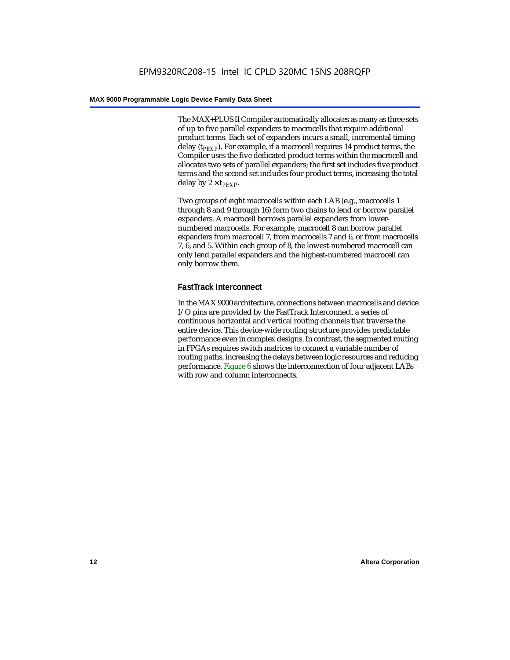The MAX+PLUS II Compiler automatically allocates as many as three sets of up to five parallel expanders to macrocells that require additional product terms. Each set of expanders incurs a small, incremental timing delay (*t<sub>PEXP</sub>*). For example, if a macrocell requires 14 product terms, the Compiler uses the five dedicated product terms within the macrocell and allocates two sets of parallel expanders; the first set includes five product terms and the second set includes four product terms, increasing the total delay by  $2 \times t_{PFXP}$ .

Two groups of eight macrocells within each LAB (e.g., macrocells 1 through 8 and 9 through 16) form two chains to lend or borrow parallel expanders. A macrocell borrows parallel expanders from lowernumbered macrocells. For example, macrocell 8 can borrow parallel expanders from macrocell 7, from macrocells 7 and 6, or from macrocells 7, 6, and 5. Within each group of 8, the lowest-numbered macrocell can only lend parallel expanders and the highest-numbered macrocell can only borrow them.

### **FastTrack Interconnect**

In the MAX 9000 architecture, connections between macrocells and device I/O pins are provided by the FastTrack Interconnect, a series of continuous horizontal and vertical routing channels that traverse the entire device. This device-wide routing structure provides predictable performance even in complex designs. In contrast, the segmented routing in FPGAs requires switch matrices to connect a variable number of routing paths, increasing the delays between logic resources and reducing performance. Figure 6 shows the interconnection of four adjacent LABs with row and column interconnects.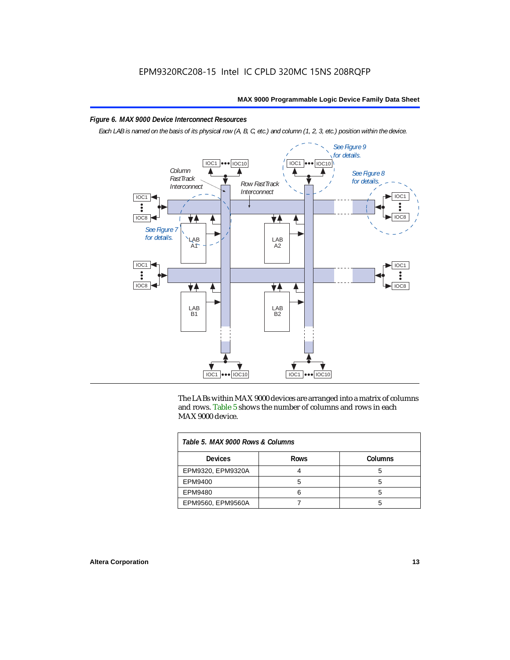### *Figure 6. MAX 9000 Device Interconnect Resources*

*Each LAB is named on the basis of its physical row (A, B, C, etc.) and column (1, 2, 3, etc.) position within the device.*



The LABs within MAX 9000 devices are arranged into a matrix of columns and rows. Table 5 shows the number of columns and rows in each MAX 9000 device.

| Table 5, MAX 9000 Rows & Columns |             |         |  |  |
|----------------------------------|-------------|---------|--|--|
| <b>Devices</b>                   | <b>Rows</b> | Columns |  |  |
| EPM9320, EPM9320A                |             |         |  |  |
| EPM9400                          |             |         |  |  |
| EPM9480                          |             |         |  |  |
| EPM9560, EPM9560A                |             |         |  |  |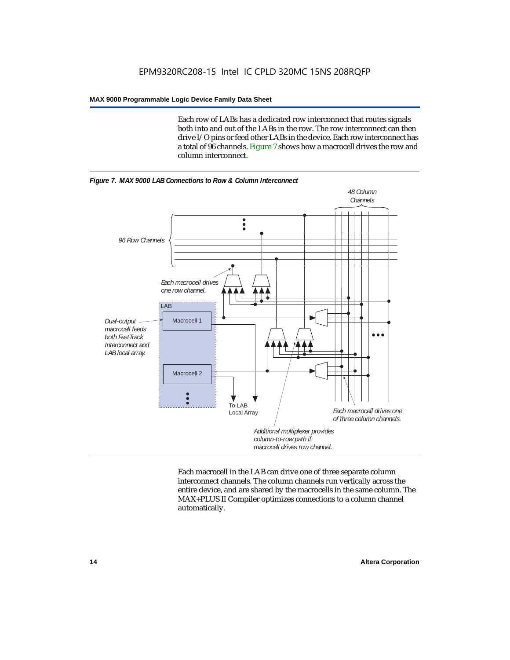Each row of LABs has a dedicated row interconnect that routes signals both into and out of the LABs in the row. The row interconnect can then drive I/O pins or feed other LABs in the device. Each row interconnect has a total of 96 channels. Figure 7 shows how a macrocell drives the row and column interconnect.





Each macrocell in the LAB can drive one of three separate column interconnect channels. The column channels run vertically across the entire device, and are shared by the macrocells in the same column. The MAX+PLUS II Compiler optimizes connections to a column channel automatically.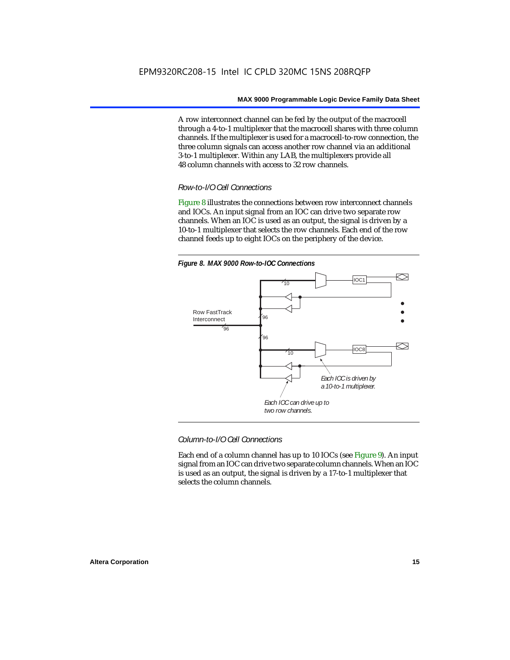A row interconnect channel can be fed by the output of the macrocell through a 4-to-1 multiplexer that the macrocell shares with three column channels. If the multiplexer is used for a macrocell-to-row connection, the three column signals can access another row channel via an additional 3-to-1 multiplexer. Within any LAB, the multiplexers provide all 48 column channels with access to 32 row channels.

### *Row-to-I/O Cell Connections*

Figure 8 illustrates the connections between row interconnect channels and IOCs. An input signal from an IOC can drive two separate row channels. When an IOC is used as an output, the signal is driven by a 10-to-1 multiplexer that selects the row channels. Each end of the row channel feeds up to eight IOCs on the periphery of the device.



*Column-to-I/O Cell Connections*

Each end of a column channel has up to 10 IOCs (see Figure 9). An input signal from an IOC can drive two separate column channels. When an IOC is used as an output, the signal is driven by a 17-to-1 multiplexer that selects the column channels.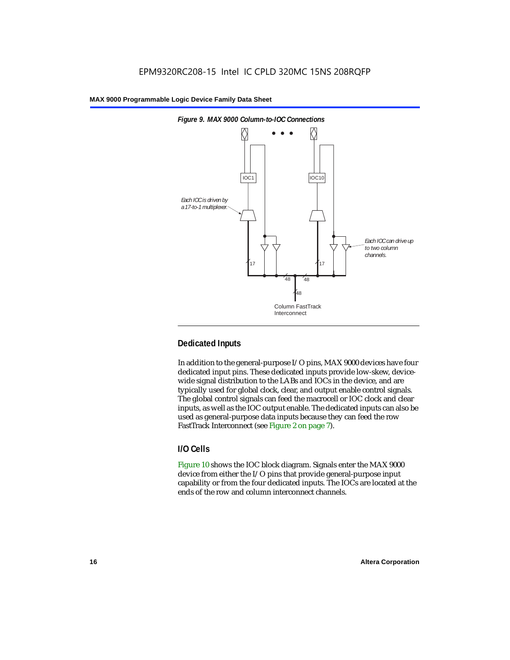

### **Dedicated Inputs**

In addition to the general-purpose I/O pins, MAX 9000 devices have four dedicated input pins. These dedicated inputs provide low-skew, devicewide signal distribution to the LABs and IOCs in the device, and are typically used for global clock, clear, and output enable control signals. The global control signals can feed the macrocell or IOC clock and clear inputs, as well as the IOC output enable. The dedicated inputs can also be used as general-purpose data inputs because they can feed the row FastTrack Interconnect (see Figure 2 on page 7).

### **I/O Cells**

Figure 10 shows the IOC block diagram. Signals enter the MAX 9000 device from either the I/O pins that provide general-purpose input capability or from the four dedicated inputs. The IOCs are located at the ends of the row and column interconnect channels.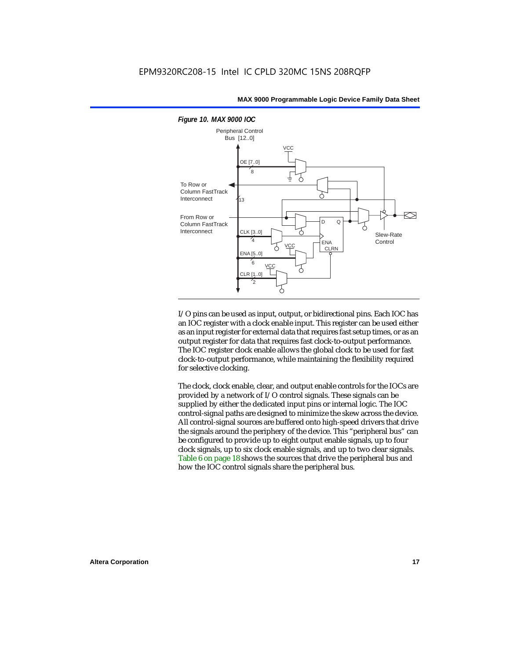

I/O pins can be used as input, output, or bidirectional pins. Each IOC has an IOC register with a clock enable input. This register can be used either as an input register for external data that requires fast setup times, or as an output register for data that requires fast clock-to-output performance. The IOC register clock enable allows the global clock to be used for fast clock-to-output performance, while maintaining the flexibility required for selective clocking.

The clock, clock enable, clear, and output enable controls for the IOCs are provided by a network of I/O control signals. These signals can be supplied by either the dedicated input pins or internal logic. The IOC control-signal paths are designed to minimize the skew across the device. All control-signal sources are buffered onto high-speed drivers that drive the signals around the periphery of the device. This "peripheral bus" can be configured to provide up to eight output enable signals, up to four clock signals, up to six clock enable signals, and up to two clear signals. Table 6 on page 18 shows the sources that drive the peripheral bus and how the IOC control signals share the peripheral bus.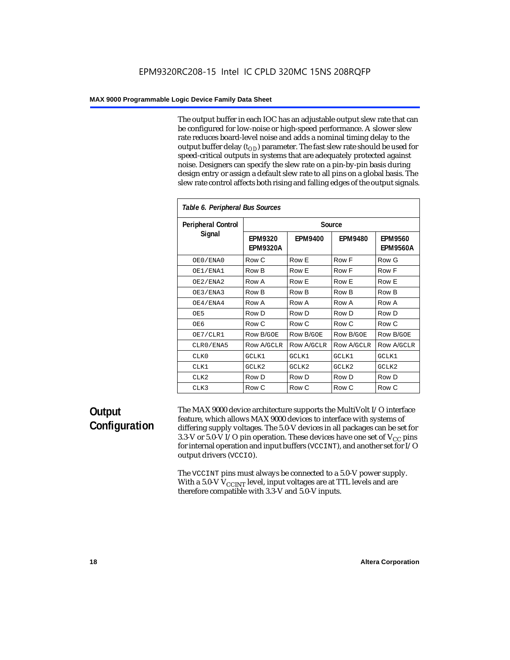The output buffer in each IOC has an adjustable output slew rate that can be configured for low-noise or high-speed performance. A slower slew rate reduces board-level noise and adds a nominal timing delay to the output buffer delay  $(t_{OD})$  parameter. The fast slew rate should be used for speed-critical outputs in systems that are adequately protected against noise. Designers can specify the slew rate on a pin-by-pin basis during design entry or assign a default slew rate to all pins on a global basis. The slew rate control affects both rising and falling edges of the output signals.

| Table 6. Peripheral Bus Sources |                                   |                |                |                                   |
|---------------------------------|-----------------------------------|----------------|----------------|-----------------------------------|
| <b>Peripheral Control</b>       |                                   |                | Source         |                                   |
| Signal                          | <b>EPM9320</b><br><b>EPM9320A</b> | <b>EPM9400</b> | <b>EPM9480</b> | <b>EPM9560</b><br><b>EPM9560A</b> |
| OE0/ENA0                        | Row C                             | Row E          | Row F          | Row G                             |
| OE1/ENA1                        | Row B                             | Row E          | Row F          | Row F                             |
| OE2/ENA2                        | Row A                             | Row E          | Row E          | Row E                             |
| OE3/ENA3                        | Row B                             | Row B          | Row B          | Row B                             |
| OE4/ENA4                        | Row A                             | Row A          | Row A          | Row A                             |
| OE5                             | Row D                             | Row D          | Row D          | Row D                             |
| OE6                             | Row C                             | Row C          | Row C          | Row C                             |
| OE7/CLR1                        | Row B/GOE                         | Row B/GOE      | Row B/GOE      | <b>Row B/GOE</b>                  |
| CLR0/ENA5                       | Row A/GCLR                        | Row A/GCLR     | Row A/GCLR     | <b>Row A/GCLR</b>                 |
| CLKO                            | GCLK1                             | GCLK1          | GCLK1          | GCLK1                             |
| CLK1                            | GCLK2                             | GCLK2          | GCLK2          | GCLK2                             |
| CLK <sub>2</sub>                | Row D                             | Row D          | Row D          | Row D                             |
| CLK3                            | Row C                             | Row C          | Row C          | Row C                             |

### **Output Configuration**

The MAX 9000 device architecture supports the MultiVolt I/O interface feature, which allows MAX 9000 devices to interface with systems of differing supply voltages. The 5.0-V devices in all packages can be set for 3.3-V or 5.0-V I/O pin operation. These devices have one set of  $V_{CC}$  pins for internal operation and input buffers (VCCINT), and another set for I/O output drivers (VCCIO).

The VCCINT pins must always be connected to a 5.0-V power supply. With a 5.0-V  $V_{\rm CCINT}$  level, input voltages are at TTL levels and are therefore compatible with 3.3-V and 5.0-V inputs.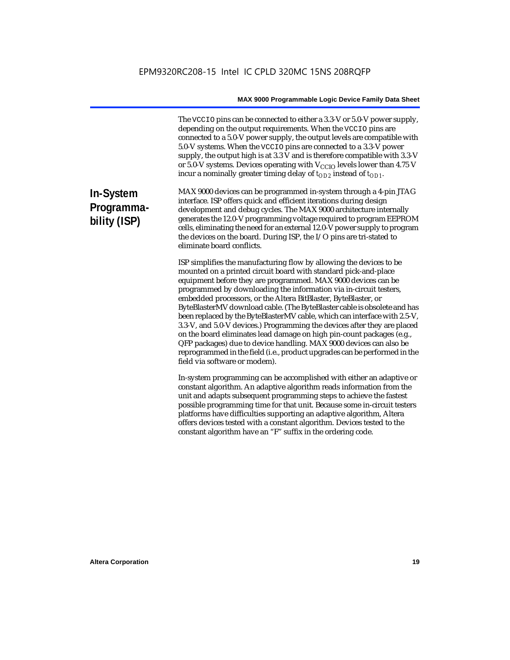The VCCIO pins can be connected to either a 3.3-V or 5.0-V power supply, depending on the output requirements. When the VCCIO pins are connected to a 5.0-V power supply, the output levels are compatible with 5.0-V systems. When the VCCIO pins are connected to a 3.3-V power supply, the output high is at 3.3 V and is therefore compatible with 3.3-V or 5.0-V systems. Devices operating with  $V_{\text{CCIO}}$  levels lower than 4.75 V incur a nominally greater timing delay of  $t_{OD2}$  instead of  $t_{OD1}$ .

### **In-System Programmability (ISP)**

MAX 9000 devices can be programmed in-system through a 4-pin JTAG interface. ISP offers quick and efficient iterations during design development and debug cycles. The MAX 9000 architecture internally generates the 12.0-V programming voltage required to program EEPROM cells, eliminating the need for an external 12.0-V power supply to program the devices on the board. During ISP, the I/O pins are tri-stated to eliminate board conflicts.

ISP simplifies the manufacturing flow by allowing the devices to be mounted on a printed circuit board with standard pick-and-place equipment before they are programmed. MAX 9000 devices can be programmed by downloading the information via in-circuit testers, embedded processors, or the Altera BitBlaster, ByteBlaster, or ByteBlasterMV download cable. (The ByteBlaster cable is obsolete and has been replaced by the ByteBlasterMV cable, which can interface with 2.5-V, 3.3-V, and 5.0-V devices.) Programming the devices after they are placed on the board eliminates lead damage on high pin-count packages (e.g., QFP packages) due to device handling. MAX 9000 devices can also be reprogrammed in the field (i.e., product upgrades can be performed in the field via software or modem).

In-system programming can be accomplished with either an adaptive or constant algorithm. An adaptive algorithm reads information from the unit and adapts subsequent programming steps to achieve the fastest possible programming time for that unit. Because some in-circuit testers platforms have difficulties supporting an adaptive algorithm, Altera offers devices tested with a constant algorithm. Devices tested to the constant algorithm have an "F" suffix in the ordering code.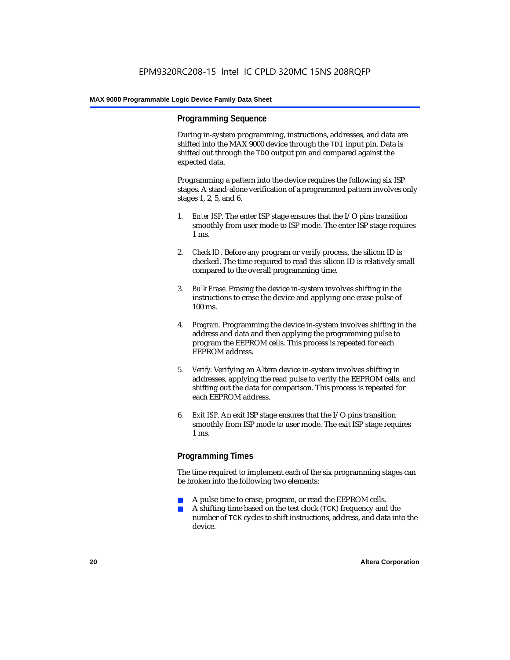### **Programming Sequence**

During in-system programming, instructions, addresses, and data are shifted into the MAX 9000 device through the TDI input pin. Data is shifted out through the TDO output pin and compared against the expected data.

Programming a pattern into the device requires the following six ISP stages. A stand-alone verification of a programmed pattern involves only stages 1, 2, 5, and 6.

- 1. *Enter ISP*. The enter ISP stage ensures that the I/O pins transition smoothly from user mode to ISP mode. The enter ISP stage requires 1 ms.
- 2. *Check ID*. Before any program or verify process, the silicon ID is checked. The time required to read this silicon ID is relatively small compared to the overall programming time.
- 3. *Bulk Erase*. Erasing the device in-system involves shifting in the instructions to erase the device and applying one erase pulse of 100 ms.
- 4. *Program*. Programming the device in-system involves shifting in the address and data and then applying the programming pulse to program the EEPROM cells. This process is repeated for each EEPROM address.
- 5. *Verify*. Verifying an Altera device in-system involves shifting in addresses, applying the read pulse to verify the EEPROM cells, and shifting out the data for comparison. This process is repeated for each EEPROM address.
- 6. *Exit ISP*. An exit ISP stage ensures that the I/O pins transition smoothly from ISP mode to user mode. The exit ISP stage requires 1 ms.

### **Programming Times**

The time required to implement each of the six programming stages can be broken into the following two elements:

- A pulse time to erase, program, or read the EEPROM cells.
- A shifting time based on the test clock (TCK) frequency and the number of TCK cycles to shift instructions, address, and data into the device.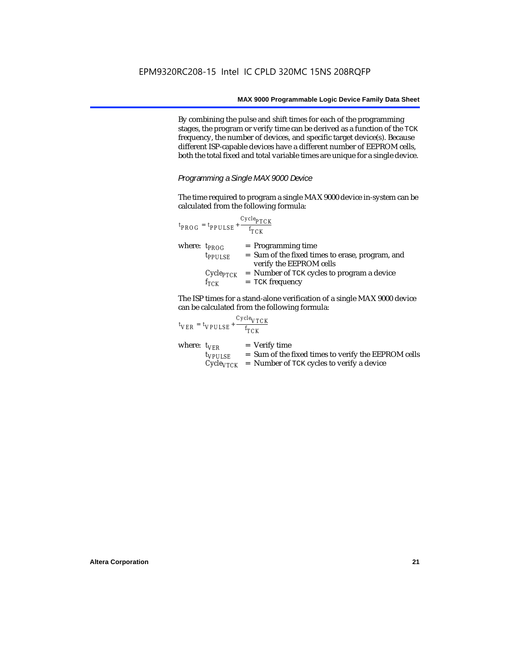By combining the pulse and shift times for each of the programming stages, the program or verify time can be derived as a function of the TCK frequency, the number of devices, and specific target device(s). Because different ISP-capable devices have a different number of EEPROM cells, both the total fixed and total variable times are unique for a single device.

*Programming a Single MAX 9000 Device*

The time required to program a single MAX 9000 device in-system can be calculated from the following formula:

|                   | $t_{PROG} = t_{PPULSE} + \frac{Cycle_{PTCK}}{f_{TCK}}$ |                                                                                                    |
|-------------------|--------------------------------------------------------|----------------------------------------------------------------------------------------------------|
| where: $t_{PROG}$ | $t_{PPULSE}$                                           | $=$ Programming time<br>= Sum of the fixed times to erase, program, and<br>verify the EEPROM cells |
|                   | $f_{TCK}$                                              | $Cycle_{PTCK}$ = Number of TCK cycles to program a device<br>$=$ TCK frequency                     |

The ISP times for a stand-alone verification of a single MAX 9000 device can be calculated from the following formula:

|                  | $t_{VER} = t_{VPULSE} + \frac{t_{TCK}}{t_{TCK}}$ | $Cycle_{VTCK}$                                                                                                                     |
|------------------|--------------------------------------------------|------------------------------------------------------------------------------------------------------------------------------------|
| where: $t_{VFR}$ | $t_{VPULSE}$                                     | $=$ Verify time<br>= Sum of the fixed times to verify the EEPROM cells<br>$Cycle_{VTCK}$ = Number of TCK cycles to verify a device |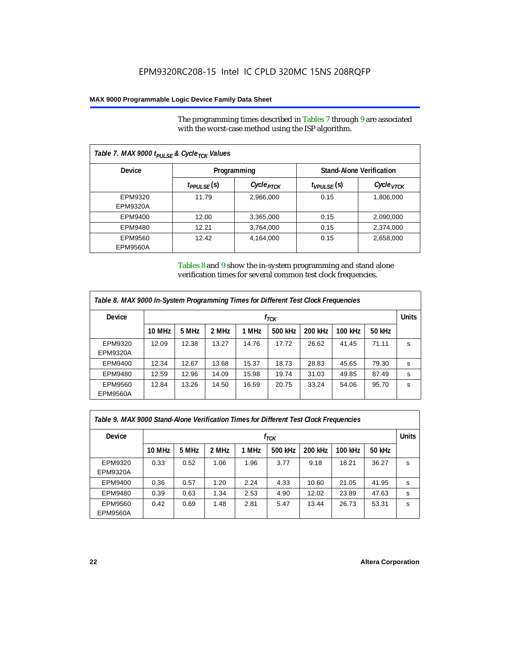The programming times described in Tables 7 through 9 are associated with the worst-case method using the ISP algorithm.

| Table 7. MAX 9000 t <sub>PULSE</sub> & Cycle <sub>TCK</sub> Values |                 |                       |                   |                                 |  |
|--------------------------------------------------------------------|-----------------|-----------------------|-------------------|---------------------------------|--|
| <b>Device</b>                                                      |                 | Programming           |                   | <b>Stand-Alone Verification</b> |  |
|                                                                    | $t_{PPULSE}(s)$ | Cycle <sub>PTCK</sub> | $t_{VPIII,SE}(s)$ | СусIе <sub>VТСК</sub>           |  |
| EPM9320                                                            | 11.79           | 2,966,000             | 0.15              | 1,806,000                       |  |
| EPM9320A                                                           |                 |                       |                   |                                 |  |
| EPM9400                                                            | 12.00           | 3,365,000             | 0.15              | 2,090,000                       |  |
| EPM9480                                                            | 12.21           | 3,764,000             | 0.15              | 2,374,000                       |  |
| EPM9560                                                            | 12.42           | 4,164,000             | 0.15              | 2,658,000                       |  |
| EPM9560A                                                           |                 |                       |                   |                                 |  |

Tables 8 and 9 show the in-system programming and stand alone verification times for several common test clock frequencies.

| Table 8. MAX 9000 In-System Programming Times for Different Test Clock Frequencies |        |       |       |       |           |                |         |        |              |
|------------------------------------------------------------------------------------|--------|-------|-------|-------|-----------|----------------|---------|--------|--------------|
| <b>Device</b>                                                                      |        |       |       |       | $f_{TCK}$ |                |         |        | <b>Units</b> |
|                                                                                    | 10 MHz | 5 MHz | 2 MHz | 1 MHz | 500 kHz   | <b>200 kHz</b> | 100 kHz | 50 kHz |              |
| EPM9320                                                                            | 12.09  | 12.38 | 13.27 | 14.76 | 17.72     | 26.62          | 41.45   | 71.11  | s            |
| <b>EPM9320A</b>                                                                    |        |       |       |       |           |                |         |        |              |
| EPM9400                                                                            | 12.34  | 12.67 | 13.68 | 15.37 | 18.73     | 28.83          | 45.65   | 79.30  | s.           |
| EPM9480                                                                            | 12.59  | 12.96 | 14.09 | 15.98 | 19.74     | 31.03          | 49.85   | 87.49  | s            |
| EPM9560                                                                            | 12.84  | 13.26 | 14.50 | 16.59 | 20.75     | 33.24          | 54.06   | 95.70  | s            |
| <b>EPM9560A</b>                                                                    |        |       |       |       |           |                |         |        |              |

| Table 9. MAX 9000 Stand-Alone Verification Times for Different Test Clock Frequencies |        |       |       |       |           |         |         |        |              |
|---------------------------------------------------------------------------------------|--------|-------|-------|-------|-----------|---------|---------|--------|--------------|
| <b>Device</b>                                                                         |        |       |       |       | $f_{TCK}$ |         |         |        | <b>Units</b> |
|                                                                                       | 10 MHz | 5 MHz | 2 MHz | 1 MHz | 500 kHz   | 200 kHz | 100 kHz | 50 kHz |              |
| EPM9320<br><b>EPM9320A</b>                                                            | 0.33   | 0.52  | 1.06  | 1.96  | 3.77      | 9.18    | 18.21   | 36.27  | s            |
| EPM9400                                                                               | 0.36   | 0.57  | 1.20  | 2.24  | 4.33      | 10.60   | 21.05   | 41.95  | s            |
| EPM9480                                                                               | 0.39   | 0.63  | 1.34  | 2.53  | 4.90      | 12.02   | 23.89   | 47.63  | s            |
| EPM9560<br><b>EPM9560A</b>                                                            | 0.42   | 0.69  | 1.48  | 2.81  | 5.47      | 13.44   | 26.73   | 53.31  | s            |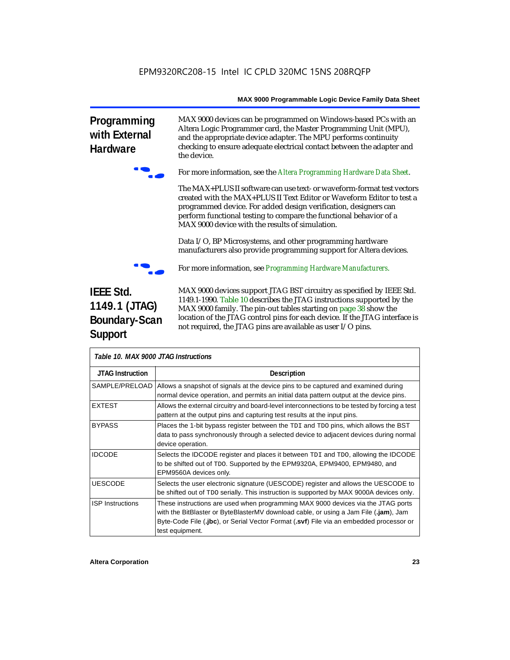**Programming with External Hardware**



the device.

f For more information, see the *Altera Programming Hardware Data Sheet*.

MAX 9000 devices can be programmed on Windows-based PCs with an Altera Logic Programmer card, the Master Programming Unit (MPU), and the appropriate device adapter. The MPU performs continuity checking to ensure adequate electrical contact between the adapter and

The MAX+PLUS II software can use text- or waveform-format test vectors created with the MAX+PLUS II Text Editor or Waveform Editor to test a programmed device. For added design verification, designers can perform functional testing to compare the functional behavior of a MAX 9000 device with the results of simulation.

Data I/O, BP Microsystems, and other programming hardware manufacturers also provide programming support for Altera devices.



f For more information, see *Programming Hardware Manufacturers*.

## **IEEE Std. 1149.1 (JTAG) Boundary-Scan Support**

MAX 9000 devices support JTAG BST circuitry as specified by IEEE Std. 1149.1-1990. Table 10 describes the JTAG instructions supported by the MAX 9000 family. The pin-out tables starting on page 38 show the location of the JTAG control pins for each device. If the JTAG interface is not required, the JTAG pins are available as user I/O pins.

| Table 10. MAX 9000 JTAG Instructions |                                                                                                                                                                                                                                                                                        |  |  |  |
|--------------------------------------|----------------------------------------------------------------------------------------------------------------------------------------------------------------------------------------------------------------------------------------------------------------------------------------|--|--|--|
| <b>JTAG Instruction</b>              | <b>Description</b>                                                                                                                                                                                                                                                                     |  |  |  |
| SAMPLE/PRELOAD I                     | Allows a snapshot of signals at the device pins to be captured and examined during<br>normal device operation, and permits an initial data pattern output at the device pins.                                                                                                          |  |  |  |
| <b>EXTEST</b>                        | Allows the external circuitry and board-level interconnections to be tested by forcing a test<br>pattern at the output pins and capturing test results at the input pins.                                                                                                              |  |  |  |
| <b>BYPASS</b>                        | Places the 1-bit bypass register between the TDI and TDO pins, which allows the BST<br>data to pass synchronously through a selected device to adjacent devices during normal<br>device operation.                                                                                     |  |  |  |
| <b>IDCODE</b>                        | Selects the IDCODE register and places it between TDI and TDO, allowing the IDCODE<br>to be shifted out of TDO. Supported by the EPM9320A, EPM9400, EPM9480, and<br>EPM9560A devices only.                                                                                             |  |  |  |
| <b>UESCODE</b>                       | Selects the user electronic signature (UESCODE) register and allows the UESCODE to<br>be shifted out of TDO serially. This instruction is supported by MAX 9000A devices only.                                                                                                         |  |  |  |
| <b>ISP Instructions</b>              | These instructions are used when programming MAX 9000 devices via the JTAG ports<br>with the BitBlaster or ByteBlasterMV download cable, or using a Jam File (.jam), Jam<br>Byte-Code File (.jbc), or Serial Vector Format (.svf) File via an embedded processor or<br>test equipment. |  |  |  |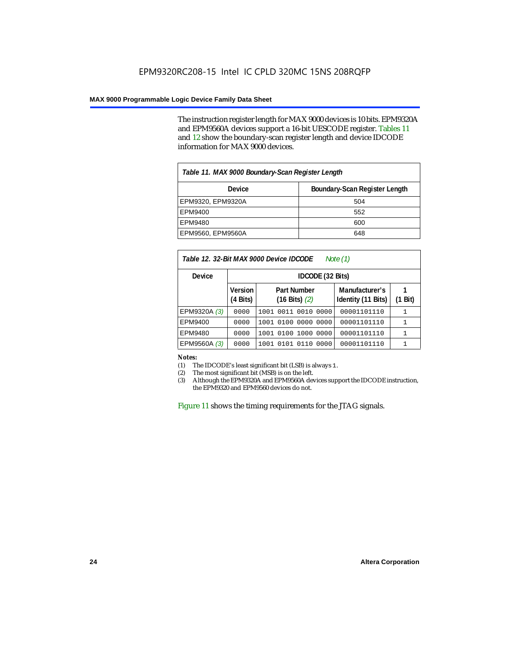The instruction register length for MAX 9000 devices is 10 bits. EPM9320A and EPM9560A devices support a 16-bit UESCODE register. Tables 11 and 12 show the boundary-scan register length and device IDCODE information for MAX 9000 devices.

| Table 11. MAX 9000 Boundary-Scan Register Length |     |  |  |  |  |
|--------------------------------------------------|-----|--|--|--|--|
| Boundary-Scan Register Length<br>Device          |     |  |  |  |  |
| EPM9320, EPM9320A                                | 504 |  |  |  |  |
| EPM9400                                          | 552 |  |  |  |  |
| EPM9480                                          | 600 |  |  |  |  |
| EPM9560, EPM9560A                                | 648 |  |  |  |  |

| Table 12. 32-Bit MAX 9000 Device IDCODE<br>Note $(1)$ |                                                                                  |                     |                                      |            |  |  |  |  |
|-------------------------------------------------------|----------------------------------------------------------------------------------|---------------------|--------------------------------------|------------|--|--|--|--|
| <b>Device</b>                                         |                                                                                  | IDCODE (32 Bits)    |                                      |            |  |  |  |  |
|                                                       | Version<br><b>Part Number</b><br>$(4 \text{ Bits})$<br>$(16 \text{ Bits})$ $(2)$ |                     | Manufacturer's<br>Identity (11 Bits) | Bit)<br>(1 |  |  |  |  |
| EPM9320A (3)                                          | 0000                                                                             | 1001 0011 0010 0000 | 00001101110                          |            |  |  |  |  |
| EPM9400                                               | 0000                                                                             | 1001 0100 0000 0000 | 00001101110                          |            |  |  |  |  |
| EPM9480                                               | 0000                                                                             | 1001 0100 1000 0000 | 00001101110                          | 1          |  |  |  |  |
| EPM9560A (3)                                          | 0000                                                                             | 1001 0101 0110 0000 | 00001101110                          |            |  |  |  |  |

*Notes:*<br>(1) The IDCODE's least significant bit (LSB) is always 1. (1) The IDCODE's least significant bit (LSB) is always 1.

(2) The most significant bit (MSB) is on the left.

Although the EPM9320A and EPM9560A devices support the IDCODE instruction, the EPM9320 and EPM9560 devices do not.

Figure 11 shows the timing requirements for the JTAG signals.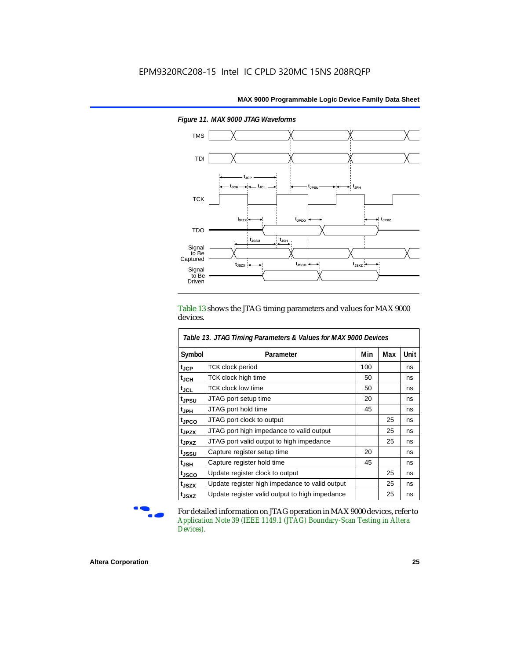

*Figure 11. MAX 9000 JTAG Waveforms*

Table 13 shows the JTAG timing parameters and values for MAX 9000 devices.

| Table 13. JTAG Timing Parameters & Values for MAX 9000 Devices |                                                |     |     |      |  |  |  |
|----------------------------------------------------------------|------------------------------------------------|-----|-----|------|--|--|--|
| Symbol                                                         | Parameter                                      | Min | Max | Unit |  |  |  |
| $t_{\rm JCP}$                                                  | <b>TCK clock period</b>                        | 100 |     | ns   |  |  |  |
| $t_{JCH}$                                                      | TCK clock high time                            | 50  |     | ns   |  |  |  |
| tjcl                                                           | <b>TCK clock low time</b>                      | 50  |     | ns   |  |  |  |
| t <sub>JPSU</sub>                                              | JTAG port setup time                           | 20  |     | ns   |  |  |  |
| $t_{JPH}$                                                      | JTAG port hold time                            | 45  |     | ns   |  |  |  |
| t <sub>JPCO</sub>                                              | JTAG port clock to output                      |     | 25  | ns   |  |  |  |
| t <sub>JPZX</sub>                                              | JTAG port high impedance to valid output       |     | 25  | ns   |  |  |  |
| t <sub>JPXZ</sub>                                              | JTAG port valid output to high impedance       |     | 25  | ns   |  |  |  |
| t <sub>JSSU</sub>                                              | Capture register setup time                    | 20  |     | ns   |  |  |  |
| t <sub>JSH</sub>                                               | Capture register hold time                     | 45  |     | ns   |  |  |  |
| t <sub>JSCO</sub>                                              | Update register clock to output                |     | 25  | ns   |  |  |  |
| t <sub>JSZX</sub>                                              | Update register high impedance to valid output |     | 25  | ns   |  |  |  |
| t <sub>JSXZ</sub>                                              | Update register valid output to high impedance |     | 25  | ns   |  |  |  |

ŗ

For detailed information on JTAG operation in MAX 9000 devices, refer to *Application Note 39 (IEEE 1149.1 (JTAG) Boundary-Scan Testing in Altera Devices)*.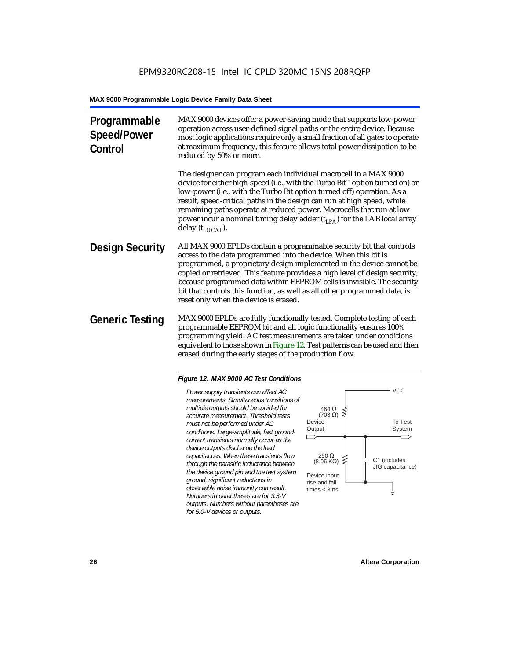| MAX 9000 devices offer a power-saving mode that supports low-power<br>operation across user-defined signal paths or the entire device. Because<br>most logic applications require only a small fraction of all gates to operate<br>at maximum frequency, this feature allows total power dissipation to be<br>reduced by 50% or more.                                                                                                                                                             |
|---------------------------------------------------------------------------------------------------------------------------------------------------------------------------------------------------------------------------------------------------------------------------------------------------------------------------------------------------------------------------------------------------------------------------------------------------------------------------------------------------|
| The designer can program each individual macrocell in a MAX 9000<br>device for either high-speed (i.e., with the Turbo Bit <sup>™</sup> option turned on) or<br>low-power (i.e., with the Turbo Bit option turned off) operation. As a<br>result, speed-critical paths in the design can run at high speed, while<br>remaining paths operate at reduced power. Macrocells that run at low<br>power incur a nominal timing delay adder $(t_{IPA})$ for the LAB local array<br>delay $(t_{LOCAI}).$ |
| All MAX 9000 EPLDs contain a programmable security bit that controls<br>access to the data programmed into the device. When this bit is<br>programmed, a proprietary design implemented in the device cannot be<br>copied or retrieved. This feature provides a high level of design security,<br>because programmed data within EEPROM cells is invisible. The security<br>bit that controls this function, as well as all other programmed data, is<br>reset only when the device is erased.    |
| MAX 9000 EPLDs are fully functionally tested. Complete testing of each<br>programmable EEPROM bit and all logic functionality ensures 100%<br>programming yield. AC test measurements are taken under conditions<br>equivalent to those shown in Figure 12. Test patterns can be used and then<br>erased during the early stages of the production flow.                                                                                                                                          |
|                                                                                                                                                                                                                                                                                                                                                                                                                                                                                                   |

### *Figure 12. MAX 9000 AC Test Conditions*

*Power supply transients can affect AC measurements. Simultaneous transitions of multiple outputs should be avoided for accurate measurement. Threshold tests must not be performed under AC conditions. Large-amplitude, fast groundcurrent transients normally occur as the device outputs discharge the load capacitances. When these transients flow through the parasitic inductance between the device ground pin and the test system ground, significant reductions in observable noise immunity can result. Numbers in parentheses are for 3.3-V outputs. Numbers without parentheses are for 5.0-V devices or outputs.*

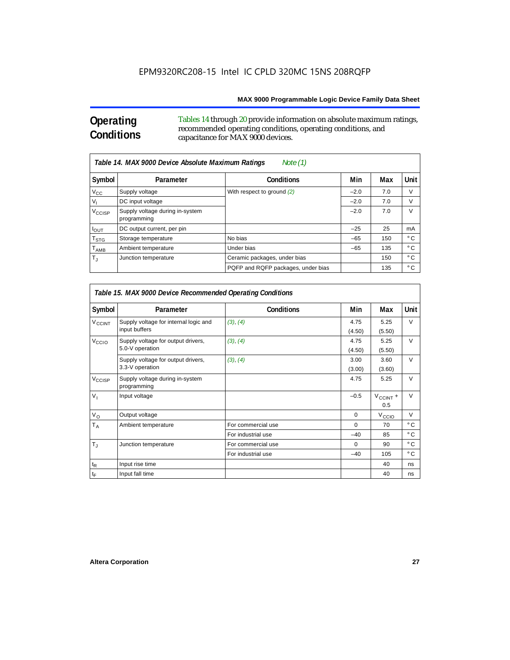### **Operating Conditions**

 $\Gamma$ 

Tables 14 through 20 provide information on absolute maximum ratings, recommended operating conditions, operating conditions, and capacitance for MAX 9000 devices.

|                             | Table 14. MAX 9000 Device Absolute Maximum Ratings<br>Note (1) |                                    |        |     |              |  |  |  |
|-----------------------------|----------------------------------------------------------------|------------------------------------|--------|-----|--------------|--|--|--|
| Symbol                      | Parameter                                                      | <b>Conditions</b>                  | Min    | Max | Unit         |  |  |  |
| $V_{\rm CC}$                | Supply voltage                                                 | With respect to ground (2)         | $-2.0$ | 7.0 | $\vee$       |  |  |  |
| $V_{1}$                     | DC input voltage                                               |                                    | $-2.0$ | 7.0 | V            |  |  |  |
| V <sub>CCISP</sub>          | Supply voltage during in-system<br>programming                 |                                    | $-2.0$ | 7.0 | $\vee$       |  |  |  |
| $I_{OUT}$                   | DC output current, per pin                                     |                                    | $-25$  | 25  | mA           |  |  |  |
| $T_{\rm STG}$               | Storage temperature                                            | No bias                            | $-65$  | 150 | $^{\circ}$ C |  |  |  |
| $\mathsf{T}_{\mathsf{AMB}}$ | Ambient temperature                                            | Under bias                         | $-65$  | 135 | $^{\circ}$ C |  |  |  |
| $\mathsf{T}_4$              | Junction temperature                                           | Ceramic packages, under bias       |        | 150 | $^{\circ}$ C |  |  |  |
|                             |                                                                | PQFP and RQFP packages, under bias |        | 135 | $^{\circ}$ C |  |  |  |

| Table 15. MAX 9000 Device Recommended Operating Conditions |                                                        |                    |                |                      |               |  |  |
|------------------------------------------------------------|--------------------------------------------------------|--------------------|----------------|----------------------|---------------|--|--|
| Symbol                                                     | Parameter                                              | <b>Conditions</b>  | Min            | Max                  | Unit          |  |  |
| <b>V<sub>CCINT</sub></b>                                   | Supply voltage for internal logic and<br>input buffers | (3), (4)           | 4.75<br>(4.50) | 5.25<br>(5.50)       | V             |  |  |
| V <sub>CCIO</sub>                                          | Supply voltage for output drivers,<br>5.0-V operation  | (3), (4)           | 4.75<br>(4.50) | 5.25<br>(5.50)       | $\vee$        |  |  |
|                                                            | Supply voltage for output drivers,<br>3.3-V operation  | (3), (4)           | 3.00<br>(3.00) | 3.60<br>(3.60)       | $\vee$        |  |  |
| V <sub>CCISP</sub>                                         | Supply voltage during in-system<br>programming         |                    | 4.75           | 5.25                 | $\vee$        |  |  |
| $V_1$                                                      | Input voltage                                          |                    | $-0.5$         | $V_{CClNT}$ +<br>0.5 | $\vee$        |  |  |
| $V_{\rm O}$                                                | Output voltage                                         |                    | $\mathbf 0$    | $V_{\text{CCI}O}$    | $\vee$        |  |  |
| $T_A$                                                      | Ambient temperature                                    | For commercial use | $\mathbf 0$    | 70                   | $^{\circ}$ C  |  |  |
|                                                            |                                                        | For industrial use | $-40$          | 85                   | $^{\circ}$ C  |  |  |
| $T_{\rm J}$                                                | Junction temperature                                   | For commercial use | $\Omega$       | 90                   | $^{\circ}$ C. |  |  |
|                                                            |                                                        | For industrial use | $-40$          | 105                  | $^{\circ}$ C  |  |  |
| $\mathfrak{t}_{\mathsf{R}}$                                | Input rise time                                        |                    |                | 40                   | ns            |  |  |
| $t_{\text{F}}$                                             | Input fall time                                        |                    |                | 40                   | ns            |  |  |

٦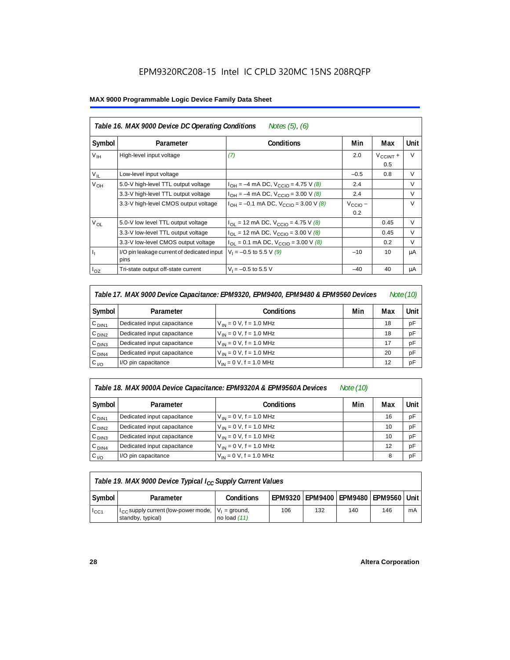| Symbol           | Parameter                                          | <b>Conditions</b>                              | Min                        | Max                         | Unit   |
|------------------|----------------------------------------------------|------------------------------------------------|----------------------------|-----------------------------|--------|
| V <sub>IH</sub>  | High-level input voltage                           | (7)                                            | 2.0                        | $V_{\text{CCINT}} +$<br>0.5 | $\vee$ |
| $V_{IL}$         | Low-level input voltage                            |                                                | $-0.5$                     | 0.8                         | V      |
| V <sub>OH</sub>  | 5.0-V high-level TTL output voltage                | $I_{OH} = -4$ mA DC, $V_{CCIO} = 4.75$ V (8)   | 2.4                        |                             | $\vee$ |
|                  | 3.3-V high-level TTL output voltage                | $I_{OH} = -4$ mA DC, $V_{CGIO} = 3.00$ V (8)   | 2.4                        |                             | $\vee$ |
|                  | 3.3-V high-level CMOS output voltage               | $I_{OH} = -0.1$ mA DC, $V_{CCIO} = 3.00$ V (8) | $V_{\text{CCIO}}$ –<br>0.2 |                             | $\vee$ |
| $V_{OL}$         | 5.0-V low level TTL output voltage                 | $I_{OL}$ = 12 mA DC, $V_{CCIO}$ = 4.75 V (8)   |                            | 0.45                        | V      |
|                  | 3.3-V low-level TTL output voltage                 | $I_{OL}$ = 12 mA DC, $V_{CCIO}$ = 3.00 V (8)   |                            | 0.45                        | $\vee$ |
|                  | 3.3-V low-level CMOS output voltage                | $I_{OL}$ = 0.1 mA DC, $V_{CCIO}$ = 3.00 V (8)  |                            | 0.2                         | V      |
| $\mathbf{I}_{1}$ | I/O pin leakage current of dedicated input<br>pins | $V_1 = -0.5$ to 5.5 V (9)                      | $-10$                      | 10                          | μA     |
| $I_{OZ}$         | Tri-state output off-state current                 | $V_1 = -0.5$ to 5.5 V                          | $-40$                      | 40                          | μA     |

| Note (10)<br>Table 17. MAX 9000 Device Capacitance: EPM9320, EPM9400, EPM9480 & EPM9560 Devices |                             |                              |     |     |      |  |
|-------------------------------------------------------------------------------------------------|-----------------------------|------------------------------|-----|-----|------|--|
| Symbol                                                                                          | Parameter                   | <b>Conditions</b>            | Min | Max | Unit |  |
| C <sub>DIN1</sub>                                                                               | Dedicated input capacitance | $V_{IN} = 0 V$ , f = 1.0 MHz |     | 18  | pF   |  |
| C <sub>DIN2</sub>                                                                               | Dedicated input capacitance | $V_{IN} = 0 V$ , f = 1.0 MHz |     | 18  | pF   |  |
| C <sub>DIN3</sub>                                                                               | Dedicated input capacitance | $V_{IN} = 0 V$ , f = 1.0 MHz |     | 17  | pF   |  |
| C <sub>DIN4</sub>                                                                               | Dedicated input capacitance | $V_{1N} = 0 V$ , f = 1.0 MHz |     | 20  | pF   |  |
| $C_{I/O}$                                                                                       | I/O pin capacitance         | $V_{IN} = 0 V$ , f = 1.0 MHz |     | 12  | pF   |  |

| Table 18. MAX 9000A Device Capacitance: EPM9320A & EPM9560A Devices | Note (10) |
|---------------------------------------------------------------------|-----------|
|                                                                     |           |

Symbol Parameter **Parameter (Conditions Followis** Min Max Unit  $C_{\text{DIN1}}$  Dedicated input capacitance  $V_{\text{IN}} = 0 \text{ V}, f = 1.0 \text{ MHz}$  16 pF  $C_{\text{DIN2}}$  Dedicated input capacitance  $V_{\text{IN}} = 0$  V, f = 1.0 MHz 10 10 pF  $C_{\text{DIN3}}$  Dedicated input capacitance  $V_{\text{IN}} = 0$  V, f = 1.0 MHz 10 10 pF  $C_{\text{DINA}}$  Dedicated input capacitance  $V_{\text{IN}} = 0$  V, f = 1.0 MHz 12 pF  $C_{1/0}$  |  $1/0$  pin capacitance  $V_{\text{IN}} = 0$  V, f = 1.0 MHz 8 |  $pF$ 

| Table 19. MAX 9000 Device Typical $I_{CC}$ Supply Current Values |                                                                               |                   |                                              |     |     |     |    |  |
|------------------------------------------------------------------|-------------------------------------------------------------------------------|-------------------|----------------------------------------------|-----|-----|-----|----|--|
| Symbol                                                           | Parameter                                                                     | <b>Conditions</b> | EPM9320   EPM9400   EPM9480   EPM9560   Unit |     |     |     |    |  |
| $I_{\rm CC1}$                                                    | $I_{CC}$ supply current (low-power mode, $V_1$ = ground,<br>standby, typical) | no load $(11)$    | 106                                          | 132 | 140 | 146 | mA |  |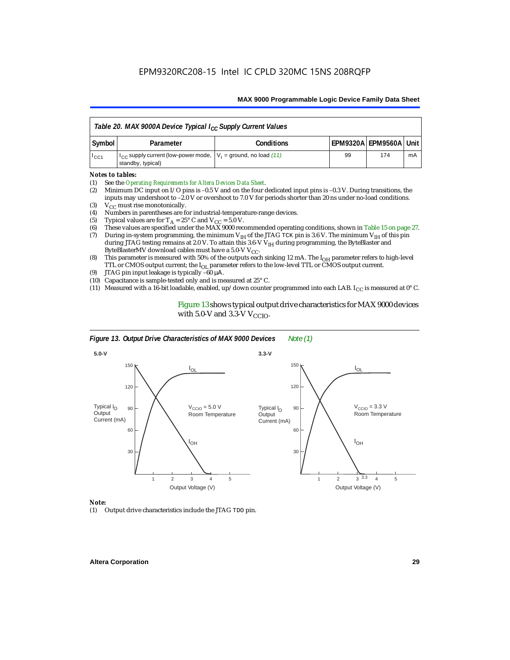| Table 20. MAX 9000A Device Typical I <sub>CC</sub> Supply Current Values |                                                                                               |                   |    |                            |    |  |
|--------------------------------------------------------------------------|-----------------------------------------------------------------------------------------------|-------------------|----|----------------------------|----|--|
| Symbol                                                                   | Parameter                                                                                     | <b>Conditions</b> |    | EPM9320A   EPM9560A   Unit |    |  |
| $1_{CC1}$                                                                | $ I_{CC}$ supply current (low-power mode, $ V_1 $ = ground, no load (11)<br>standby, typical) |                   | 99 | 174                        | mA |  |

### *Notes to tables:*

- (1) See the *Operating Requirements for Altera Devices Data Sheet*.
- (2) Minimum DC input on I/O pins is –0.5 V and on the four dedicated input pins is –0.3 V. During transitions, the inputs may undershoot to –2.0 V or overshoot to 7.0 V for periods shorter than 20 ns under no-load conditions.
- (3)  $V_{CC}$  must rise monotonically.<br>(4) Numbers in parentheses are for
- (4) Numbers in parentheses are for industrial-temperature-range devices.<br>(5) Typical values are for  $T_A = 25^\circ$  C and  $V_{CC} = 5.0$  V.
- (5) Typical values are for  $T_A = 25^\circ$  C and  $V_{CC} = 5.0$  V.<br>(6) These values are specified under the MAX 9000 rec
- (6) These values are specified under the MAX 9000 recommended operating conditions, shown in Table 15 on page 27.<br>(7) During in-system programming, the minimum  $V_{H}$  of the JTAG TCK pin is 3.6 V. The minimum  $V_{H}$  of th
- During in-system programming, the minimum V<sub>IH</sub> of the JTAG TCK pin is 3.6 V. The minimum V<sub>IH</sub> of this pin during JTAG testing remains at 2.0 V. To attain this 3.6-V V<sub>IH</sub> during programming, the ByteBlaster and ByteBlasterMV download cables must have a 5.0-V  $V_{CC}$ .
- (8) This parameter is measured with 50% of the outputs each sinking 12 mA. The  $I<sub>OH</sub>$  parameter refers to high-level TTL or CMOS output current; the I<sub>OL</sub> parameter refers to the low-level TTL or CMOS output current.
- (9) JTAG pin input leakage is typically –60 µΑ.
- (10) Capacitance is sample-tested only and is measured at 25° C.
- (11) Measured with a 16-bit loadable, enabled, up/down counter programmed into each LAB. I<sub>CC</sub> is measured at  $0^{\circ}$  C.

Figure 13 shows typical output drive characteristics for MAX 9000 devices with 5.0-V and 3.3-V  $V_{CCIO}$ .



#### *Note:*

(1) Output drive characteristics include the JTAG TDO pin.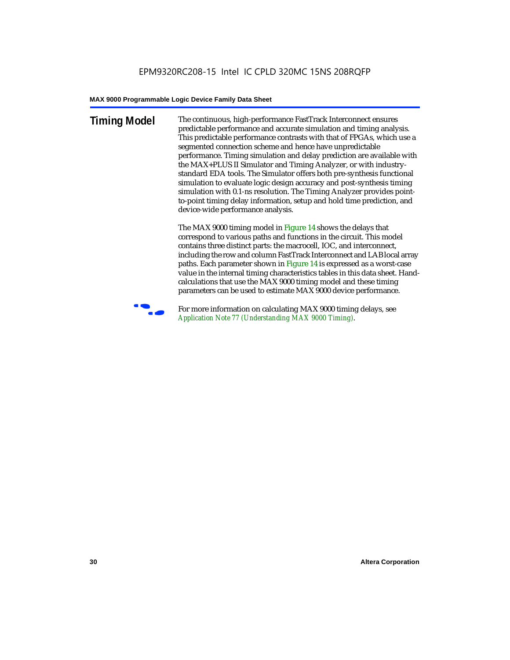**Timing Model** The continuous, high-performance FastTrack Interconnect ensures predictable performance and accurate simulation and timing analysis. This predictable performance contrasts with that of FPGAs, which use a segmented connection scheme and hence have unpredictable performance. Timing simulation and delay prediction are available with the MAX+PLUS II Simulator and Timing Analyzer, or with industrystandard EDA tools. The Simulator offers both pre-synthesis functional simulation to evaluate logic design accuracy and post-synthesis timing simulation with 0.1-ns resolution. The Timing Analyzer provides pointto-point timing delay information, setup and hold time prediction, and device-wide performance analysis.

> The MAX 9000 timing model in Figure 14 shows the delays that correspond to various paths and functions in the circuit. This model contains three distinct parts: the macrocell, IOC, and interconnect, including the row and column FastTrack Interconnect and LAB local array paths. Each parameter shown in Figure 14 is expressed as a worst-case value in the internal timing characteristics tables in this data sheet. Handcalculations that use the MAX 9000 timing model and these timing parameters can be used to estimate MAX 9000 device performance.



For more information on calculating MAX 9000 timing delays, see *Application Note 77 (Understanding MAX 9000 Timing)*.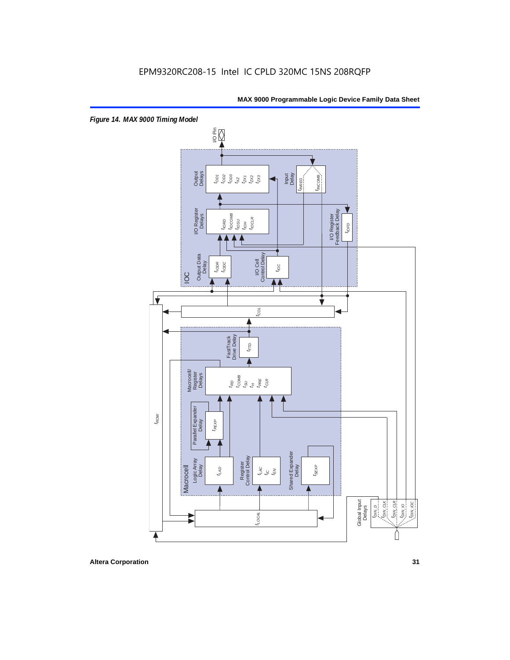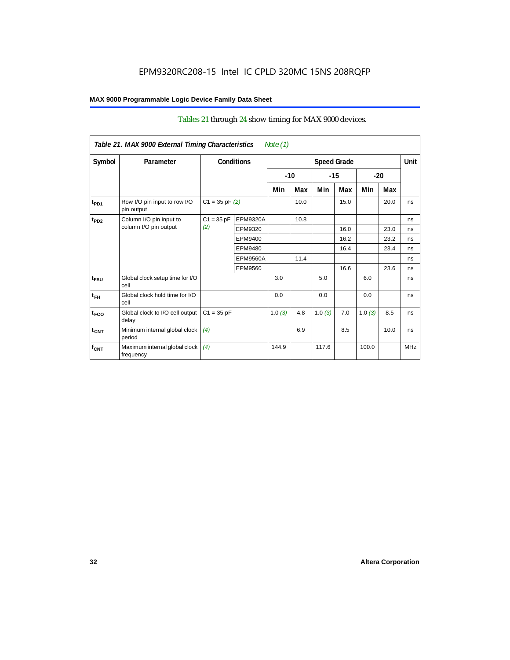### Tables 21 through 24 show timing for MAX 9000 devices.

|                  | Table 21. MAX 9000 External Timing Characteristics |                    |                 | Note $(1)$ |       |        |                    |        |       |            |
|------------------|----------------------------------------------------|--------------------|-----------------|------------|-------|--------|--------------------|--------|-------|------------|
| Symbol           | Parameter                                          | <b>Conditions</b>  |                 |            |       |        | <b>Speed Grade</b> |        |       | Unit       |
|                  |                                                    |                    |                 |            | $-10$ | $-15$  |                    |        | $-20$ |            |
|                  |                                                    |                    |                 | Min        | Max   | Min    | Max                | Min    | Max   |            |
| t <sub>PD1</sub> | Row I/O pin input to row I/O<br>pin output         | $C1 = 35$ pF $(2)$ |                 |            | 10.0  |        | 15.0               |        | 20.0  | ns         |
| $t_{PD2}$        | Column I/O pin input to                            | $C1 = 35 pF$       | EPM9320A        |            | 10.8  |        |                    |        |       | ns         |
|                  | column I/O pin output                              | (2)                | EPM9320         |            |       |        | 16.0               |        | 23.0  | ns         |
|                  |                                                    |                    | EPM9400         |            |       |        | 16.2               |        | 23.2  | ns         |
|                  |                                                    |                    | EPM9480         |            |       |        | 16.4               |        | 23.4  | ns         |
|                  |                                                    |                    | <b>EPM9560A</b> |            | 11.4  |        |                    |        |       | ns         |
|                  |                                                    |                    | EPM9560         |            |       |        | 16.6               |        | 23.6  | ns         |
| $t_{FSU}$        | Global clock setup time for I/O<br>cell            |                    |                 | 3.0        |       | 5.0    |                    | 6.0    |       | ns         |
| $t_{FH}$         | Global clock hold time for I/O<br>cell             |                    |                 | 0.0        |       | 0.0    |                    | 0.0    |       | ns         |
| t <sub>FCO</sub> | Global clock to I/O cell output<br>delay           | $C1 = 35 pF$       |                 | 1.0(3)     | 4.8   | 1.0(3) | 7.0                | 1.0(3) | 8.5   | ns         |
| $t_{CNT}$        | Minimum internal global clock<br>period            | (4)                |                 |            | 6.9   |        | 8.5                |        | 10.0  | ns         |
| $f_{CNT}$        | Maximum internal global clock<br>frequency         | (4)                |                 | 144.9      |       | 117.6  |                    | 100.0  |       | <b>MHz</b> |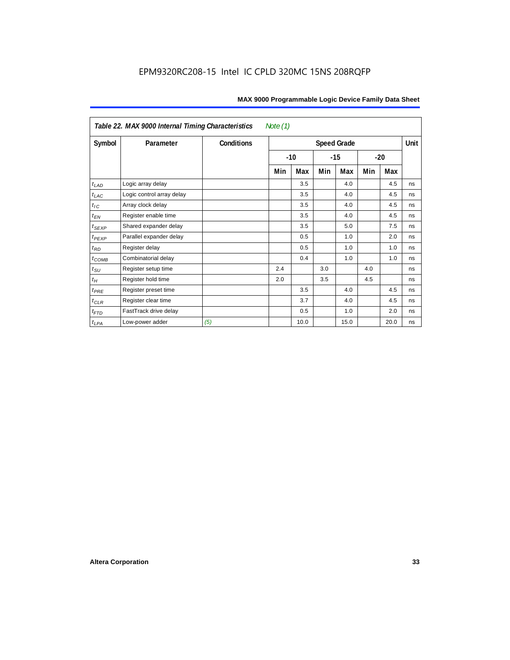| Note $(1)$<br>Table 22. MAX 9000 Internal Timing Characteristics |                           |                   |                    |       |       |      |     |       |             |
|------------------------------------------------------------------|---------------------------|-------------------|--------------------|-------|-------|------|-----|-------|-------------|
| Symbol                                                           | Parameter                 | <b>Conditions</b> | <b>Speed Grade</b> |       |       |      |     |       | <b>Unit</b> |
|                                                                  |                           |                   |                    | $-10$ | $-15$ |      |     | $-20$ |             |
|                                                                  |                           |                   | Min                | Max   | Min   | Max  | Min | Max   |             |
| $t_{LAD}$                                                        | Logic array delay         |                   |                    | 3.5   |       | 4.0  |     | 4.5   | ns          |
| $t_{LAC}$                                                        | Logic control array delay |                   |                    | 3.5   |       | 4.0  |     | 4.5   | ns          |
| $t_{IC}$                                                         | Array clock delay         |                   |                    | 3.5   |       | 4.0  |     | 4.5   | ns          |
| $t_{EN}$                                                         | Register enable time      |                   |                    | 3.5   |       | 4.0  |     | 4.5   | ns          |
| $t_{SEXP}$                                                       | Shared expander delay     |                   |                    | 3.5   |       | 5.0  |     | 7.5   | ns          |
| $t_{PEXP}$                                                       | Parallel expander delay   |                   |                    | 0.5   |       | 1.0  |     | 2.0   | ns          |
| $t_{RD}$                                                         | Register delay            |                   |                    | 0.5   |       | 1.0  |     | 1.0   | ns          |
| $t_{COMB}$                                                       | Combinatorial delay       |                   |                    | 0.4   |       | 1.0  |     | 1.0   | ns          |
| $t_{SU}$                                                         | Register setup time       |                   | 2.4                |       | 3.0   |      | 4.0 |       | ns          |
| $t_H$                                                            | Register hold time        |                   | 2.0                |       | 3.5   |      | 4.5 |       | ns          |
| $t_{PRE}$                                                        | Register preset time      |                   |                    | 3.5   |       | 4.0  |     | 4.5   | ns          |
| $t_{CLR}$                                                        | Register clear time       |                   |                    | 3.7   |       | 4.0  |     | 4.5   | ns          |
| $t_{FTD}$                                                        | FastTrack drive delay     |                   |                    | 0.5   |       | 1.0  |     | 2.0   | ns          |
| $t_{LPA}$                                                        | Low-power adder           | (5)               |                    | 10.0  |       | 15.0 |     | 20.0  | ns          |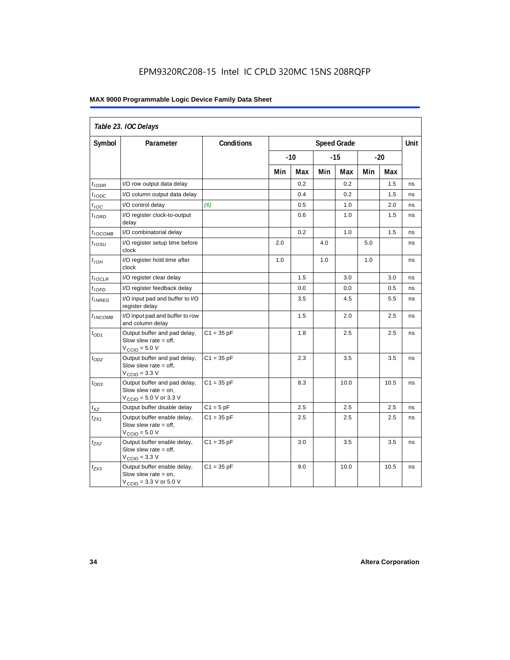### EPM9320RC208-15 Intel IC CPLD 320MC 15NS 208RQFP

### **MAX 9000 Programmable Logic Device Family Data Sheet**

| Table 23. IOC Delays |                                                                                                               |              |     |       |     |                    |     |      |      |
|----------------------|---------------------------------------------------------------------------------------------------------------|--------------|-----|-------|-----|--------------------|-----|------|------|
| Symbol               | Parameter                                                                                                     | Conditions   |     |       |     | <b>Speed Grade</b> |     |      | Unit |
|                      |                                                                                                               |              |     | $-10$ |     | $-15$<br>$-20$     |     |      |      |
|                      |                                                                                                               |              | Min | Max   | Min | Max                | Min | Max  |      |
| $t_{IODR}$           | I/O row output data delay                                                                                     |              |     | 0.2   |     | 0.2                |     | 1.5  | ns   |
| $t_{IODC}$           | I/O column output data delay                                                                                  |              |     | 0.4   |     | 0.2                |     | 1.5  | ns   |
| $t_{\text{IOC}}$     | I/O control delay                                                                                             | (6)          |     | 0.5   |     | 1.0                |     | 2.0  | ns   |
| $t_{IORD}$           | I/O register clock-to-output<br>delay                                                                         |              |     | 0.6   |     | 1.0                |     | 1.5  | ns   |
| $t_{IOCOMB}$         | I/O combinatorial delay                                                                                       |              |     | 0.2   |     | 1.0                |     | 1.5  | ns   |
| $t_{IOSU}$           | I/O register setup time before<br>clock                                                                       |              | 2.0 |       | 4.0 |                    | 5.0 |      | ns   |
| $t_{IOH}$            | I/O register hold time after<br>clock                                                                         |              | 1.0 |       | 1.0 |                    | 1.0 |      | ns   |
| $t_{IOCLR}$          | I/O register clear delay                                                                                      |              |     | 1.5   |     | 3.0                |     | 3.0  | ns   |
| $t_{IOFD}$           | I/O register feedback delay                                                                                   |              |     | 0.0   |     | 0.0                |     | 0.5  | ns   |
| $t_{INREG}$          | I/O input pad and buffer to I/O<br>register delay                                                             |              |     | 3.5   |     | 4.5                |     | 5.5  | ns   |
| $t_{INCOMB}$         | I/O input pad and buffer to row<br>and column delay                                                           |              |     | 1.5   |     | 2.0                |     | 2.5  | ns   |
| $t_{OD1}$            | Output buffer and pad delay,<br>Slow slew rate $=$ off,<br>$V_{\text{CCIO}} = 5.0 V$                          | $C1 = 35 pF$ |     | 1.8   |     | 2.5                |     | 2.5  | ns   |
| $t_{OD2}$            | Output buffer and pad delay,<br>Slow slew rate $=$ off,<br>$VCIO = 3.3 V$                                     | $C1 = 35 pF$ |     | 2.3   |     | 3.5                |     | 3.5  | ns   |
| $t_{OD3}$            | Output buffer and pad delay,<br>Slow slew rate $=$ on,<br>$V_{\text{CCIO}} = 5.0 \text{ V or } 3.3 \text{ V}$ | $C1 = 35 pF$ |     | 8.3   |     | 10.0               |     | 10.5 | ns   |
| $t_{XZ}$             | Output buffer disable delay                                                                                   | $C1 = 5pF$   |     | 2.5   |     | 2.5                |     | 2.5  | ns   |
| $t_{ZX1}$            | Output buffer enable delay,<br>Slow slew rate $=$ off,<br>$V_{\text{CCIO}} = 5.0 V$                           | $C1 = 35 pF$ |     | 2.5   |     | 2.5                |     | 2.5  | ns   |
| $t_{ZX2}$            | Output buffer enable delay,<br>Slow slew rate $=$ off,<br>$V_{\text{CCIO}} = 3.3 \text{ V}$                   | $C1 = 35 pF$ |     | 3.0   |     | 3.5                |     | 3.5  | ns   |
| $t_{ZX3}$            | Output buffer enable delay,<br>Slow slew rate $=$ on,<br>$V_{\text{CGIO}} = 3.3 \text{ V or } 5.0 \text{ V}$  | $C1 = 35 pF$ |     | 9.0   |     | 10.0               |     | 10.5 | ns   |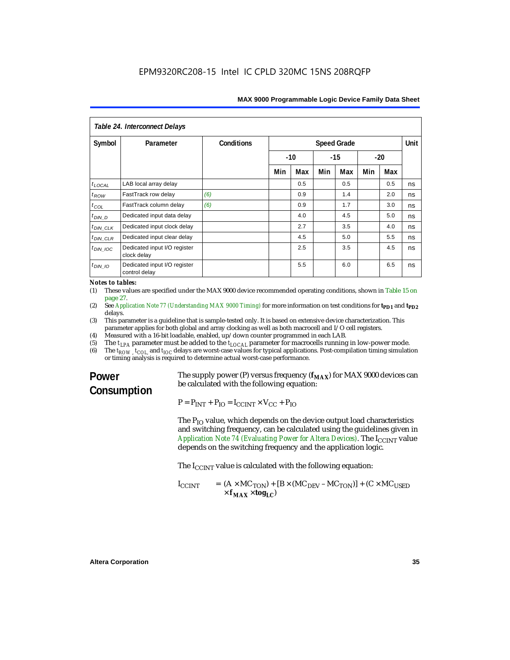| Table 24. Interconnect Delays |                                               |            |                    |     |       |     |     |       |      |
|-------------------------------|-----------------------------------------------|------------|--------------------|-----|-------|-----|-----|-------|------|
| Symbol                        | Parameter                                     | Conditions | <b>Speed Grade</b> |     |       |     |     |       | Unit |
|                               |                                               |            | $-10$              |     | $-15$ |     |     | $-20$ |      |
|                               |                                               |            | Min                | Max | Min   | Max | Min | Max   |      |
| $t_{\text{LOCAL}}$            | LAB local array delay                         |            |                    | 0.5 |       | 0.5 |     | 0.5   | ns   |
| $t_{ROW}$                     | FastTrack row delay                           | (6)        |                    | 0.9 |       | 1.4 |     | 2.0   | ns   |
| $t_{COL}$                     | FastTrack column delay                        | (6)        |                    | 0.9 |       | 1.7 |     | 3.0   | ns   |
| $t_{DIN}$ D                   | Dedicated input data delay                    |            |                    | 4.0 |       | 4.5 |     | 5.0   | ns   |
| $t_{DIN\_CLK}$                | Dedicated input clock delay                   |            |                    | 2.7 |       | 3.5 |     | 4.0   | ns   |
| $t_{DIN\_CLR}$                | Dedicated input clear delay                   |            |                    | 4.5 |       | 5.0 |     | 5.5   | ns   |
| $t_{DIN}$ IOC                 | Dedicated input I/O register<br>clock delay   |            |                    | 2.5 |       | 3.5 |     | 4.5   | ns   |
| $t_{DIN}$ 10                  | Dedicated input I/O register<br>control delay |            |                    | 5.5 |       | 6.0 |     | 6.5   | ns   |

*Notes to tables:*

(1) These values are specified under the MAX 9000 device recommended operating conditions, shown in Table 15 on page 27.

- (2) See *Application Note 77 (Understanding MAX 9000 Timing)* for more information on test conditions for **t<sub>PD1</sub>** and **t**<sub>PD2</sub> delays.
- (3) This parameter is a guideline that is sample-tested only. It is based on extensive device characterization. This parameter applies for both global and array clocking as well as both macrocell and I/O cell registers.
- (4) Measured with a 16-bit loadable, enabled, up/down counter programmed in each LAB.
- (5) The  $t_{LPA}$  parameter must be added to the  $t_{LOCAL}$  parameter for macrocells running in low-power mode.<br>(6) The  $t_{POW}$   $t_{CO}$  and  $t_{IO}$  delays are worst-case values for typical applications. Post-compilation timing si
- The  $t_{ROW}$ ,  $t_{COU}$  and  $t_{IOC}$  delays are worst-case values for typical applications. Post-compilation timing simulation or timing analysis is required to determine actual worst-case performance.

### **Power Consumption**

The supply power (P) versus frequency  $(f_{MAX})$  for MAX 9000 devices can be calculated with the following equation:

 $P = P_{INT} + P_{IO} = I_{CCINT} \times V_{CC} + P_{IO}$ 

The  $P_{IO}$  value, which depends on the device output load characteristics and switching frequency, can be calculated using the guidelines given in *Application Note 74 (Evaluating Power for Altera Devices)*. The I<sub>CCINT</sub> value depends on the switching frequency and the application logic.

The  $I_{C CINT}$  value is calculated with the following equation:

$$
I_{CCINT} = (A \times MC_{TON}) + [B \times (MC_{DEV} - MC_{TON})] + (C \times MC_{USED} \times f_{MAX} \times \text{tog}_{LC})
$$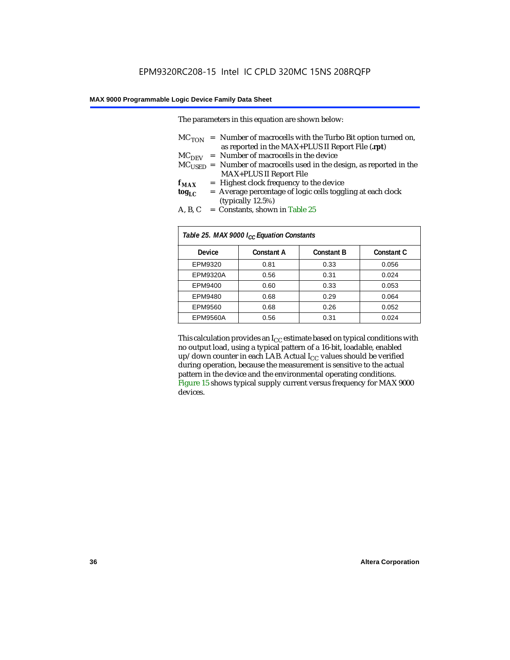The parameters in this equation are shown below:

|                 | $MC_{TON}$ = Number of macrocells with the Turbo Bit option turned on,     |
|-----------------|----------------------------------------------------------------------------|
|                 | as reported in the MAX+PLUS II Report File (.rpt)                          |
|                 | $MCDFV$ = Number of macrocells in the device                               |
|                 | $MC_{LISED}$ = Number of macrocells used in the design, as reported in the |
|                 | <b>MAX+PLUS II Report File</b>                                             |
| ${\bf f_{MAX}}$ | = Highest clock frequency to the device                                    |
| tog $_{\rm LC}$ | = Average percentage of logic cells toggling at each clock                 |
|                 | (typically 12.5%)                                                          |
| $\sqrt{2}$      | $\alpha$ 1 . m 11 or                                                       |

A, B, C = Constants, shown in Table  $25$ 

| Table 25. MAX 9000 I <sub>CC</sub> Equation Constants |                   |                   |                   |  |  |  |  |
|-------------------------------------------------------|-------------------|-------------------|-------------------|--|--|--|--|
| Device                                                | <b>Constant A</b> | <b>Constant B</b> | <b>Constant C</b> |  |  |  |  |
| EPM9320                                               | 0.81              | 0.33              | 0.056             |  |  |  |  |
| <b>EPM9320A</b>                                       | 0.56              | 0.31              | 0.024             |  |  |  |  |
| EPM9400                                               | 0.60              | 0.33              | 0.053             |  |  |  |  |
| EPM9480                                               | 0.68              | 0.29              | 0.064             |  |  |  |  |
| EPM9560                                               | 0.68              | 0.26              | 0.052             |  |  |  |  |
| <b>EPM9560A</b>                                       | 0.56              | 0.31              | 0.024             |  |  |  |  |

This calculation provides an  $I_{CC}$  estimate based on typical conditions with no output load, using a typical pattern of a 16-bit, loadable, enabled up/down counter in each LAB. Actual  $I_{CC}$  values should be verified during operation, because the measurement is sensitive to the actual pattern in the device and the environmental operating conditions. Figure 15 shows typical supply current versus frequency for MAX 9000 devices.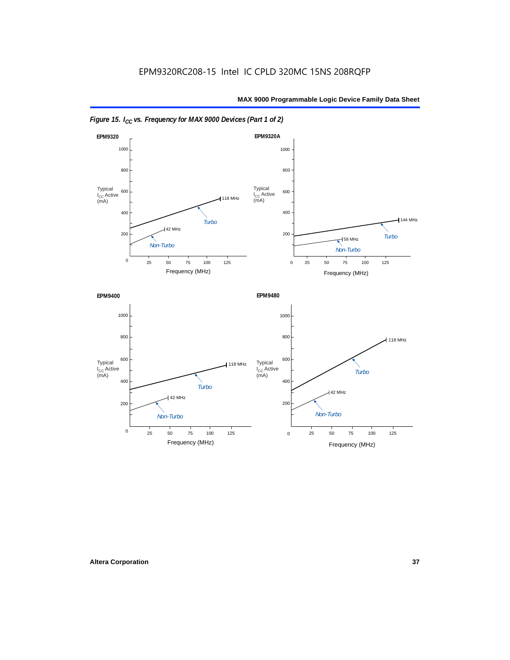



*Figure 15. I<sub>CC</sub> vs. Frequency for MAX 9000 Devices (Part 1 of 2)*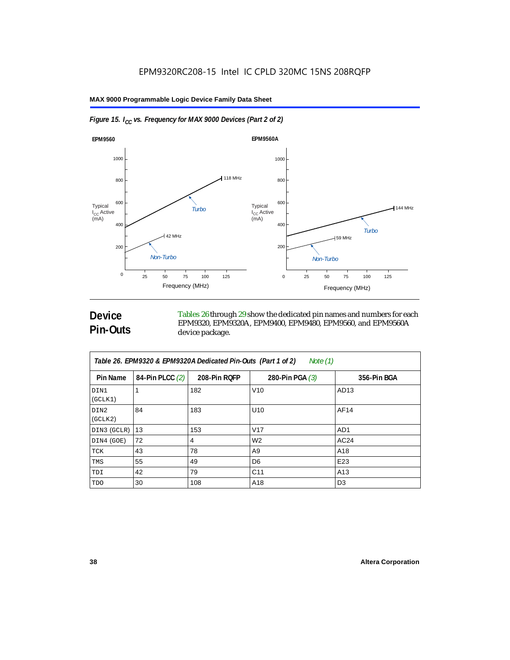



### **Device Pin-Outs**

Tables 26 through 29 show the dedicated pin names and numbers for each EPM9320, EPM9320A, EPM9400, EPM9480, EPM9560, and EPM9560A device package.

| Table 26. EPM9320 & EPM9320A Dedicated Pin-Outs (Part 1 of 2)<br>Note (1) |                 |              |                   |                 |  |  |
|---------------------------------------------------------------------------|-----------------|--------------|-------------------|-----------------|--|--|
| Pin Name                                                                  | 84-Pin PLCC (2) | 208-Pin RQFP | 280-Pin PGA $(3)$ | 356-Pin BGA     |  |  |
| DIN1<br>(GCLK1)                                                           |                 | 182          | V10               | AD13            |  |  |
| DIN2<br>(GCLK2)                                                           | 84              | 183          | U <sub>10</sub>   | AF14            |  |  |
| DIN3 (GCLR)                                                               | 13              | 153          | V <sub>17</sub>   | AD <sub>1</sub> |  |  |
| DIN4 (GOE)                                                                | 72              | 4            | W <sub>2</sub>    | AC24            |  |  |
| TCK                                                                       | 43              | 78           | A <sub>9</sub>    | A18             |  |  |
| TMS                                                                       | 55              | 49           | D <sub>6</sub>    | E23             |  |  |
| TDI                                                                       | 42              | 79           | C <sub>11</sub>   | A13             |  |  |
| TDO                                                                       | 30              | 108          | A18               | D <sub>3</sub>  |  |  |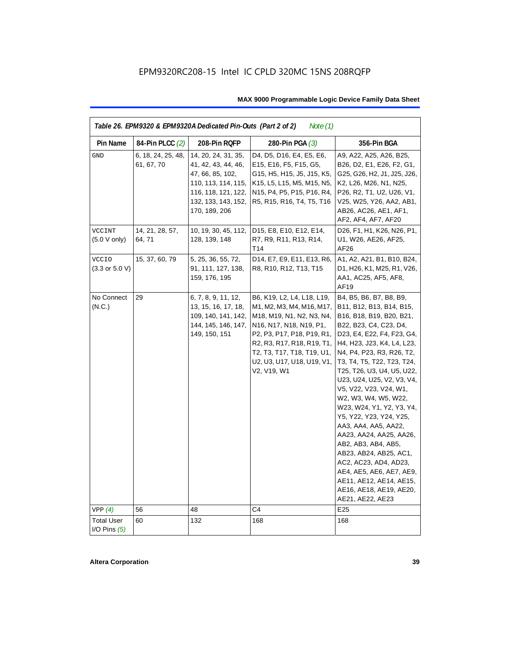| Table 26. EPM9320 & EPM9320A Dedicated Pin-Outs (Part 2 of 2)<br>Note $(1)$ |                                  |                                                                                                                                                      |                                                                                                                                                                                                                                                        |                                                                                                                                                                                                                                                                                                                                                                                                                                                                                                                                                                                                                                           |  |  |  |
|-----------------------------------------------------------------------------|----------------------------------|------------------------------------------------------------------------------------------------------------------------------------------------------|--------------------------------------------------------------------------------------------------------------------------------------------------------------------------------------------------------------------------------------------------------|-------------------------------------------------------------------------------------------------------------------------------------------------------------------------------------------------------------------------------------------------------------------------------------------------------------------------------------------------------------------------------------------------------------------------------------------------------------------------------------------------------------------------------------------------------------------------------------------------------------------------------------------|--|--|--|
| Pin Name                                                                    | 84-Pin PLCC (2)                  | 208-Pin RQFP                                                                                                                                         | 280-Pin PGA $(3)$                                                                                                                                                                                                                                      | 356-Pin BGA                                                                                                                                                                                                                                                                                                                                                                                                                                                                                                                                                                                                                               |  |  |  |
| <b>GND</b>                                                                  | 6, 18, 24, 25, 48,<br>61, 67, 70 | 14, 20, 24, 31, 35,<br>41, 42, 43, 44, 46,<br>47, 66, 85, 102,<br>110, 113, 114, 115,<br>116, 118, 121, 122,<br>132, 133, 143, 152,<br>170, 189, 206 | D4, D5, D16, E4, E5, E6,<br>E15, E16, F5, F15, G5,<br>G15, H5, H15, J5, J15, K5,<br>K15, L5, L15, M5, M15, N5,<br>N15, P4, P5, P15, P16, R4,<br>R5, R15, R16, T4, T5, T16                                                                              | A9, A22, A25, A26, B25,<br>B26, D2, E1, E26, F2, G1,<br>G25, G26, H2, J1, J25, J26,<br>K2, L26, M26, N1, N25,<br>P26, R2, T1, U2, U26, V1,<br>V25, W25, Y26, AA2, AB1,<br>AB26, AC26, AE1, AF1,<br>AF2, AF4, AF7, AF20                                                                                                                                                                                                                                                                                                                                                                                                                    |  |  |  |
| VCCINT<br>$(5.0 V \text{ only})$                                            | 14, 21, 28, 57,<br>64, 71        | 10, 19, 30, 45, 112,<br>128, 139, 148                                                                                                                | D15, E8, E10, E12, E14,<br>R7, R9, R11, R13, R14,<br>T14                                                                                                                                                                                               | D26, F1, H1, K26, N26, P1,<br>U1, W26, AE26, AF25,<br>AF26                                                                                                                                                                                                                                                                                                                                                                                                                                                                                                                                                                                |  |  |  |
| <b>VCCIO</b><br>$(3.3 \text{ or } 5.0 \text{ V})$                           | 15, 37, 60, 79                   | 5, 25, 36, 55, 72,<br>91, 111, 127, 138,<br>159, 176, 195                                                                                            | D14, E7, E9, E11, E13, R6,<br>R8, R10, R12, T13, T15                                                                                                                                                                                                   | A1, A2, A21, B1, B10, B24,<br>D1, H26, K1, M25, R1, V26,<br>AA1, AC25, AF5, AF8,<br>AF19                                                                                                                                                                                                                                                                                                                                                                                                                                                                                                                                                  |  |  |  |
| No Connect<br>(N.C.)                                                        | 29                               | 6, 7, 8, 9, 11, 12,<br>13, 15, 16, 17, 18,<br>109, 140, 141, 142,<br>144, 145, 146, 147,<br>149, 150, 151                                            | B6, K19, L2, L4, L18, L19,<br>M1, M2, M3, M4, M16, M17,<br>M18, M19, N1, N2, N3, N4,<br>N16, N17, N18, N19, P1,<br>P2, P3, P17, P18, P19, R1,<br>R2, R3, R17, R18, R19, T1,<br>T2, T3, T17, T18, T19, U1,<br>U2, U3, U17, U18, U19, V1,<br>V2, V19, W1 | B4, B5, B6, B7, B8, B9,<br>B11, B12, B13, B14, B15,<br>B16, B18, B19, B20, B21,<br>B22, B23, C4, C23, D4,<br>D23, E4, E22, F4, F23, G4,<br>H4, H23, J23, K4, L4, L23,<br>N4, P4, P23, R3, R26, T2,<br>T3, T4, T5, T22, T23, T24,<br>T25, T26, U3, U4, U5, U22,<br>U23, U24, U25, V2, V3, V4,<br>V5, V22, V23, V24, W1,<br>W2, W3, W4, W5, W22,<br>W23, W24, Y1, Y2, Y3, Y4,<br>Y5, Y22, Y23, Y24, Y25,<br>AA3, AA4, AA5, AA22,<br>AA23, AA24, AA25, AA26,<br>AB2, AB3, AB4, AB5,<br>AB23, AB24, AB25, AC1,<br>AC2, AC23, AD4, AD23,<br>AE4, AE5, AE6, AE7, AE9,<br>AE11, AE12, AE14, AE15,<br>AE16, AE18, AE19, AE20,<br>AE21, AE22, AE23 |  |  |  |
| VPP(4)                                                                      | 56                               | 48                                                                                                                                                   | C4                                                                                                                                                                                                                                                     | E <sub>25</sub>                                                                                                                                                                                                                                                                                                                                                                                                                                                                                                                                                                                                                           |  |  |  |
| <b>Total User</b><br>I/O Pins $(5)$                                         | 60                               | 132                                                                                                                                                  | 168                                                                                                                                                                                                                                                    | 168                                                                                                                                                                                                                                                                                                                                                                                                                                                                                                                                                                                                                                       |  |  |  |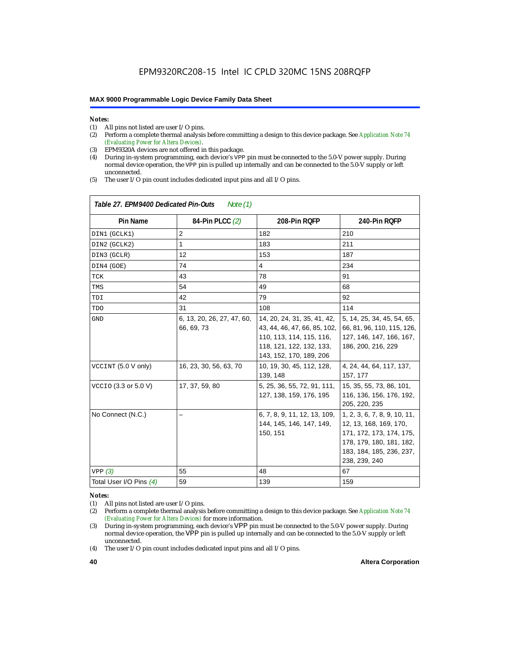## *Notes:*<br>(1) A

 $\overline{1}$ 

- (1) All pins not listed are user  $I/O$  pins.<br>(2) Perform a complete thermal analysis
- (2) Perform a complete thermal analysis before committing a design to this device package. See *Application Note 74 (Evaluating Power for Altera Devices)*.
- (3) EPM9320A devices are not offered in this package.
- (4) During in-system programming, each device's VPP pin must be connected to the 5.0-V power supply. During normal device operation, the VPP pin is pulled up internally and can be connected to the 5.0-V supply or left unconnected.
- (5) The user I/O pin count includes dedicated input pins and all I/O pins.

| Table 27. EPM9400 Dedicated Pin-Outs<br>Note $(1)$ |                                          |                                                                                                                                                |                                                                                                                                                             |  |  |  |  |
|----------------------------------------------------|------------------------------------------|------------------------------------------------------------------------------------------------------------------------------------------------|-------------------------------------------------------------------------------------------------------------------------------------------------------------|--|--|--|--|
| <b>Pin Name</b>                                    | 84-Pin PLCC (2)                          | 208-Pin RQFP                                                                                                                                   | 240-Pin RQFP                                                                                                                                                |  |  |  |  |
| DIN1 (GCLK1)                                       | $\overline{2}$                           | 182                                                                                                                                            | 210                                                                                                                                                         |  |  |  |  |
| DIN2 (GCLK2)                                       | 1                                        | 183                                                                                                                                            | 211                                                                                                                                                         |  |  |  |  |
| DIN3 (GCLR)                                        | 12                                       | 153                                                                                                                                            | 187                                                                                                                                                         |  |  |  |  |
| DIN4 (GOE)                                         | 74                                       | $\overline{4}$                                                                                                                                 | 234                                                                                                                                                         |  |  |  |  |
| TCK                                                | 43                                       | 78                                                                                                                                             | 91                                                                                                                                                          |  |  |  |  |
| TMS                                                | 54                                       | 49                                                                                                                                             | 68                                                                                                                                                          |  |  |  |  |
| TDI                                                | 42                                       | 79                                                                                                                                             | 92                                                                                                                                                          |  |  |  |  |
| TDO                                                | 31                                       | 108                                                                                                                                            | 114                                                                                                                                                         |  |  |  |  |
| <b>GND</b>                                         | 6, 13, 20, 26, 27, 47, 60,<br>66, 69, 73 | 14, 20, 24, 31, 35, 41, 42,<br>43, 44, 46, 47, 66, 85, 102,<br>110, 113, 114, 115, 116,<br>118, 121, 122, 132, 133,<br>143, 152, 170, 189, 206 | 5, 14, 25, 34, 45, 54, 65,<br>66, 81, 96, 110, 115, 126,<br>127, 146, 147, 166, 167,<br>186, 200, 216, 229                                                  |  |  |  |  |
| VCCINT (5.0 V only)                                | 16, 23, 30, 56, 63, 70                   | 10, 19, 30, 45, 112, 128,<br>139, 148                                                                                                          | 4, 24, 44, 64, 117, 137,<br>157, 177                                                                                                                        |  |  |  |  |
| VCCIO (3.3 or 5.0 V)                               | 17, 37, 59, 80                           | 5, 25, 36, 55, 72, 91, 111,<br>127, 138, 159, 176, 195                                                                                         | 15, 35, 55, 73, 86, 101,<br>116, 136, 156, 176, 192,<br>205, 220, 235                                                                                       |  |  |  |  |
| No Connect (N.C.)                                  |                                          | 6, 7, 8, 9, 11, 12, 13, 109,<br>144, 145, 146, 147, 149,<br>150, 151                                                                           | 1, 2, 3, 6, 7, 8, 9, 10, 11,<br>12, 13, 168, 169, 170,<br>171, 172, 173, 174, 175,<br>178, 179, 180, 181, 182,<br>183, 184, 185, 236, 237,<br>238, 239, 240 |  |  |  |  |
| VPP(3)                                             | 55                                       | 48                                                                                                                                             | 67                                                                                                                                                          |  |  |  |  |
| Total User I/O Pins (4)                            | 59                                       | 139                                                                                                                                            | 159                                                                                                                                                         |  |  |  |  |

### *Notes:*

(1) All pins not listed are user I/O pins.

<sup>(2)</sup> Perform a complete thermal analysis before committing a design to this device package. See *Application Note 74 (Evaluating Power for Altera Devices)* for more information.

<sup>(3)</sup> During in-system programming, each device's VPP pin must be connected to the 5.0-V power supply. During normal device operation, the VPP pin is pulled up internally and can be connected to the 5.0-V supply or left unconnected.

<sup>(4)</sup> The user I/O pin count includes dedicated input pins and all I/O pins.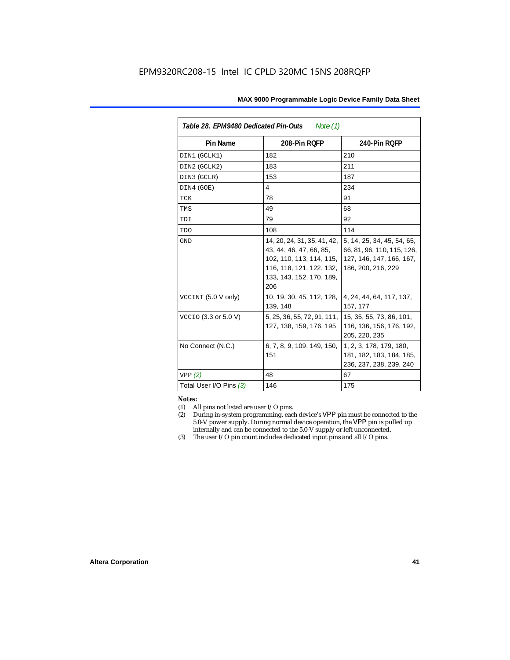| Table 28. EPM9480 Dedicated Pin-Outs<br>Note (1) |                                                                                                                                                   |                                                                                                            |  |  |  |
|--------------------------------------------------|---------------------------------------------------------------------------------------------------------------------------------------------------|------------------------------------------------------------------------------------------------------------|--|--|--|
| Pin Name                                         | 208-Pin ROFP                                                                                                                                      | 240-Pin RQFP                                                                                               |  |  |  |
| DIN1 (GCLK1)                                     | 182                                                                                                                                               | 210                                                                                                        |  |  |  |
| DIN2 (GCLK2)                                     | 183                                                                                                                                               | 211                                                                                                        |  |  |  |
| DIN3 (GCLR)                                      | 153                                                                                                                                               | 187                                                                                                        |  |  |  |
| DIN4 (GOE)                                       | 4                                                                                                                                                 | 234                                                                                                        |  |  |  |
| TCK                                              | 78                                                                                                                                                | 91                                                                                                         |  |  |  |
| TMS                                              | 49                                                                                                                                                | 68                                                                                                         |  |  |  |
| TDI                                              | 79                                                                                                                                                | 92                                                                                                         |  |  |  |
| TDO                                              | 108                                                                                                                                               | 114                                                                                                        |  |  |  |
| <b>GND</b>                                       | 14, 20, 24, 31, 35, 41, 42,<br>43, 44, 46, 47, 66, 85,<br>102, 110, 113, 114, 115,<br>116, 118, 121, 122, 132,<br>133, 143, 152, 170, 189,<br>206 | 5, 14, 25, 34, 45, 54, 65,<br>66, 81, 96, 110, 115, 126,<br>127, 146, 147, 166, 167,<br>186, 200, 216, 229 |  |  |  |
| VCCINT (5.0 V only)                              | 10, 19, 30, 45, 112, 128,<br>139, 148                                                                                                             | 4, 24, 44, 64, 117, 137,<br>157, 177                                                                       |  |  |  |
| VCCIO (3.3 or 5.0 V)                             | 5, 25, 36, 55, 72, 91, 111,<br>127, 138, 159, 176, 195                                                                                            | 15, 35, 55, 73, 86, 101,<br>116, 136, 156, 176, 192,<br>205, 220, 235                                      |  |  |  |
| No Connect (N.C.)                                | 6, 7, 8, 9, 109, 149, 150,<br>151                                                                                                                 | 1, 2, 3, 178, 179, 180,<br>181, 182, 183, 184, 185,<br>236, 237, 238, 239, 240                             |  |  |  |
| VPP(2)                                           | 48                                                                                                                                                | 67                                                                                                         |  |  |  |
| Total User I/O Pins (3)                          | 146                                                                                                                                               | 175                                                                                                        |  |  |  |

#### *Notes:*

- (1) All pins not listed are user I/O pins.
- (2) During in-system programming, each device's VPP pin must be connected to the 5.0-V power supply. During normal device operation, the VPP pin is pulled up internally and can be connected to the 5.0-V supply or left unconnected.
- (3) The user I/O pin count includes dedicated input pins and all I/O pins.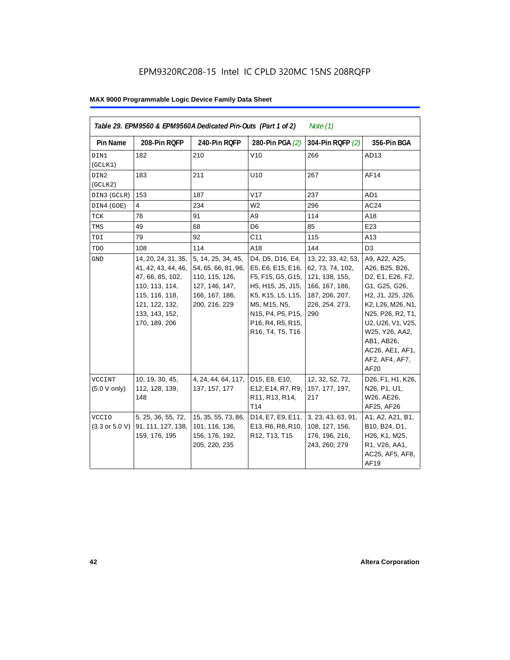|                                                   |                                                                                                                                                         | Table 29. EPM9560 & EPM9560A Dedicated Pin-Outs (Part 1 of 2)                                                    |                                                                                                                                                                                    | Note $(1)$                                                                                                             |                                                                                                                                                                                                                                       |
|---------------------------------------------------|---------------------------------------------------------------------------------------------------------------------------------------------------------|------------------------------------------------------------------------------------------------------------------|------------------------------------------------------------------------------------------------------------------------------------------------------------------------------------|------------------------------------------------------------------------------------------------------------------------|---------------------------------------------------------------------------------------------------------------------------------------------------------------------------------------------------------------------------------------|
| Pin Name                                          | 208-Pin RQFP                                                                                                                                            | 240-Pin RQFP                                                                                                     | 280-Pin PGA (2)                                                                                                                                                                    | 304-Pin RQFP (2)                                                                                                       | 356-Pin BGA                                                                                                                                                                                                                           |
| DIN1<br>(GCLK1)                                   | 182                                                                                                                                                     | 210                                                                                                              | V10                                                                                                                                                                                | 266                                                                                                                    | AD13                                                                                                                                                                                                                                  |
| DIN2<br>(GCLK2)                                   | 183                                                                                                                                                     | 211                                                                                                              | U <sub>10</sub>                                                                                                                                                                    | 267                                                                                                                    | AF14                                                                                                                                                                                                                                  |
| DIN3 (GCLR)                                       | 153                                                                                                                                                     | 187                                                                                                              | V17                                                                                                                                                                                | 237                                                                                                                    | AD1                                                                                                                                                                                                                                   |
| DIN4 (GOE)                                        | 4                                                                                                                                                       | 234                                                                                                              | W <sub>2</sub>                                                                                                                                                                     | 296                                                                                                                    | AC24                                                                                                                                                                                                                                  |
| TCK                                               | 78                                                                                                                                                      | 91                                                                                                               | A <sub>9</sub>                                                                                                                                                                     | 114                                                                                                                    | A18                                                                                                                                                                                                                                   |
| TMS                                               | 49                                                                                                                                                      | 68                                                                                                               | D <sub>6</sub>                                                                                                                                                                     | 85                                                                                                                     | E23                                                                                                                                                                                                                                   |
| TDI                                               | 79                                                                                                                                                      | 92                                                                                                               | C <sub>11</sub>                                                                                                                                                                    | 115                                                                                                                    | A <sub>13</sub>                                                                                                                                                                                                                       |
| <b>TDO</b>                                        | 108                                                                                                                                                     | 114                                                                                                              | A18                                                                                                                                                                                | 144                                                                                                                    | D <sub>3</sub>                                                                                                                                                                                                                        |
| $\operatorname{GND}$                              | 14, 20, 24, 31, 35,<br>41, 42, 43, 44, 46,<br>47, 66, 85, 102,<br>110, 113, 114,<br>115, 116, 118,<br>121, 122, 132,<br>133, 143, 152,<br>170, 189, 206 | 5, 14, 25, 34, 45,<br>54, 65, 66, 81, 96,<br>110, 115, 126,<br>127, 146, 147,<br>166, 167, 186,<br>200, 216, 229 | D4, D5, D16, E4,<br>E5, E6, E15, E16,<br>F5, F15, G5, G15,<br>H5, H15, J5, J15,<br>K5, K15, L5, L15,<br>M5, M15, N5,<br>N15, P4, P5, P15,<br>P16, R4, R5, R15,<br>R16, T4, T5, T16 | 13, 22, 33, 42, 53,<br>62, 73, 74, 102,<br>121, 138, 155,<br>166, 167, 186,<br>187, 206, 207,<br>226, 254, 273,<br>290 | A9, A22, A25,<br>A26, B25, B26,<br>D2, E1, E26, F2,<br>G1, G25, G26,<br>H2, J1, J25, J26,<br>K2, L26, M26, N1,<br>N25, P26, R2, T1,<br>U2, U26, V1, V25,<br>W25, Y26, AA2,<br>AB1, AB26,<br>AC26, AE1, AF1,<br>AF2, AF4, AF7,<br>AF20 |
| VCCINT<br>(5.0 V only)                            | 10, 19, 30, 45,<br>112, 128, 139,<br>148                                                                                                                | 4, 24, 44, 64, 117,<br>137, 157, 177                                                                             | D15, E8, E10,<br>E12, E14, R7, R9,<br>R11, R13, R14,<br>T <sub>14</sub>                                                                                                            | 12, 32, 52, 72,<br>157, 177, 197,<br>217                                                                               | D26, F1, H1, K26,<br>N26, P1, U1,<br>W26, AE26,<br>AF25, AF26                                                                                                                                                                         |
| <b>VCCIO</b><br>$(3.3 \text{ or } 5.0 \text{ V})$ | 5, 25, 36, 55, 72,<br>91, 111, 127, 138,<br>159, 176, 195                                                                                               | 15, 35, 55, 73, 86,<br>101, 116, 136,<br>156, 176, 192,<br>205, 220, 235                                         | D14, E7, E9, E11,<br>E13, R6, R8, R10,<br>R12, T13, T15                                                                                                                            | 3, 23, 43, 63, 91,<br>108, 127, 156,<br>176, 196, 216,<br>243, 260, 279                                                | A1, A2, A21, B1,<br>B10, B24, D1,<br>H26, K1, M25,<br>R1, V26, AA1,<br>AC25, AF5, AF8,<br>AF19                                                                                                                                        |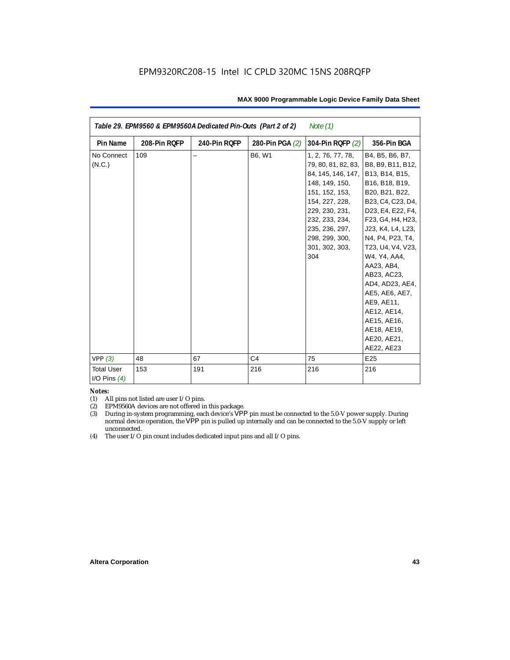| Note $(1)$<br>Table 29. EPM9560 & EPM9560A Dedicated Pin-Outs (Part 2 of 2) |              |              |                 |                                                                                                                                                                                                                       |                                                                                                                                                                                                                                                                                                                                                                                                   |  |
|-----------------------------------------------------------------------------|--------------|--------------|-----------------|-----------------------------------------------------------------------------------------------------------------------------------------------------------------------------------------------------------------------|---------------------------------------------------------------------------------------------------------------------------------------------------------------------------------------------------------------------------------------------------------------------------------------------------------------------------------------------------------------------------------------------------|--|
| <b>Pin Name</b>                                                             | 208-Pin RQFP | 240-Pin RQFP | 280-Pin PGA (2) | 304-Pin RQFP (2)                                                                                                                                                                                                      | 356-Pin BGA                                                                                                                                                                                                                                                                                                                                                                                       |  |
| No Connect<br>(N.C.)                                                        | 109          |              | B6, W1          | 1, 2, 76, 77, 78,<br>79, 80, 81, 82, 83,<br>84, 145, 146, 147,<br>148, 149, 150,<br>151, 152, 153,<br>154, 227, 228,<br>229, 230, 231,<br>232, 233, 234,<br>235, 236, 297,<br>298, 299, 300,<br>301, 302, 303,<br>304 | B4, B5, B6, B7,<br>B8, B9, B11, B12,<br>B13, B14, B15,<br>B16, B18, B19,<br>B20, B21, B22,<br>B23, C4, C23, D4,<br>D23, E4, E22, F4,<br>F23, G4, H4, H23,<br>J23, K4, L4, L23,<br>N4, P4, P23, T4,<br>T23, U4, V4, V23,<br>W4, Y4, AA4,<br>AA23, AB4,<br>AB23, AC23,<br>AD4, AD23, AE4,<br>AE5, AE6, AE7,<br>AE9, AE11,<br>AE12, AE14,<br>AE15, AE16,<br>AE18, AE19,<br>AE20, AE21,<br>AE22, AE23 |  |
| VPP(3)                                                                      | 48           | 67           | C <sub>4</sub>  | 75                                                                                                                                                                                                                    | E <sub>25</sub>                                                                                                                                                                                                                                                                                                                                                                                   |  |
| <b>Total User</b><br>I/O Pins $(4)$                                         | 153          | 191          | 216             | 216                                                                                                                                                                                                                   | 216                                                                                                                                                                                                                                                                                                                                                                                               |  |

#### *Notes:*

(1) All pins not listed are user I/O pins.

(2) EPM9560A devices are not offered in this package.

(3) During in-system programming, each device's VPP pin must be connected to the 5.0-V power supply. During normal device operation, the VPP pin is pulled up internally and can be connected to the 5.0-V supply or left unconnected.

(4) The user I/O pin count includes dedicated input pins and all I/O pins.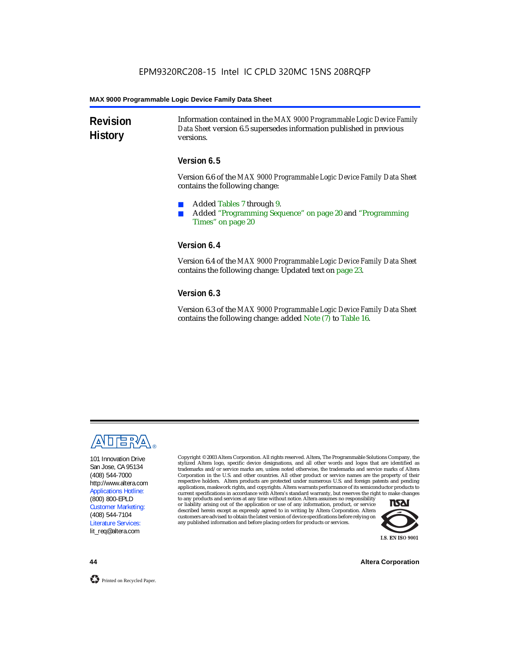**Revision History** Information contained in the *MAX 9000 Programmable Logic Device Family Data Sheet* version 6.5 supersedes information published in previous versions.

### **Version 6.5**

Version 6.6 of the *MAX 9000 Programmable Logic Device Family Data Sheet* contains the following change:

- Added Tables 7 through 9.
- Added "Programming Sequence" on page 20 and "Programming Times" on page 20

### **Version 6.4**

Version 6.4 of the *MAX 9000 Programmable Logic Device Family Data Sheet* contains the following change: Updated text on page 23.

### **Version 6.3**

Version 6.3 of the *MAX 9000 Programmable Logic Device Family Data Sheet* contains the following change: added Note (7) to Table 16.



101 Innovation Drive San Jose, CA 95134 (408) 544-7000 http://www.altera.com Applications Hotline: (800) 800-EPLD Customer Marketing: (408) 544-7104 Literature Services: lit\_req@altera.com

Copyright © 2003 Altera Corporation. All rights reserved. Altera, The Programmable Solutions Company, the stylized Altera logo, specific device designations, and all other words and logos that are identified as trademarks and/or service marks are, unless noted otherwise, the trademarks and service marks of Altera Corporation in the U.S. and other countries. All other product or service names are the property of their respective holders. Altera products are protected under numerous U.S. and foreign patents and pending applications, maskwork rights, and copyrights. Altera warrants performance of its semiconductor products to current specifications in accordance with Altera's standard warranty, but reserves the right to make changes

to any products and services at any time without notice. Altera assumes no responsibility or liability arising out of the application or use of any information, product, or service described herein except as expressly agreed to in writing by Altera Corporation. Altera customers are advised to obtain the latest version of device specifications before relying on any published information and before placing orders for products or services.



**44 Altera Corporation**